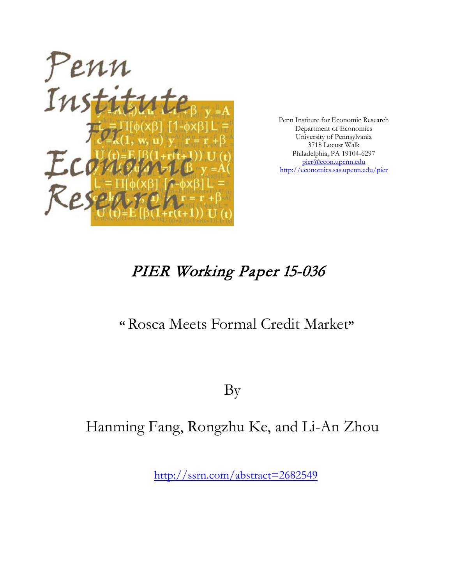

Penn Institute for Economic Research Department of Economics University of Pennsylvania 3718 Locust Walk Philadelphia, PA 19104-6297 [pier@econ.upenn.edu](mailto:pier@econ.upenn.edu) <http://economics.sas.upenn.edu/pier>

# PIER Working Paper 15-036

# **"** Rosca Meets Formal Credit Market**"**

By

# Hanming Fang, Rongzhu Ke, and Li-An Zhou

[http://ssrn.com/abstract=](http://ssrn.com/abstract_id=)2682549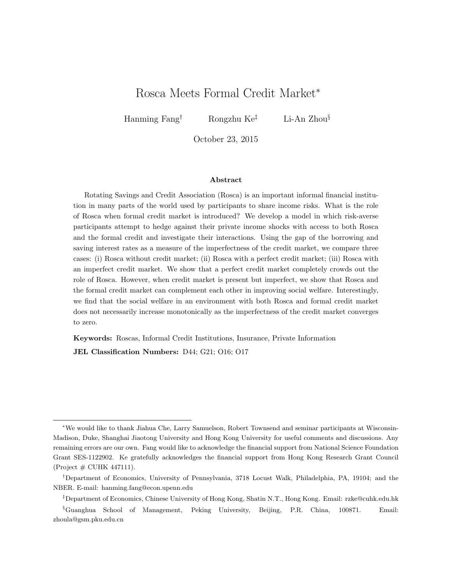# Rosca Meets Formal Credit Market<sup>∗</sup>

Hanming Fang† Rongzhu Ke‡ Li-An Zhou§

October 23, 2015

#### Abstract

Rotating Savings and Credit Association (Rosca) is an important informal financial institution in many parts of the world used by participants to share income risks. What is the role of Rosca when formal credit market is introduced? We develop a model in which risk-averse participants attempt to hedge against their private income shocks with access to both Rosca and the formal credit and investigate their interactions. Using the gap of the borrowing and saving interest rates as a measure of the imperfectness of the credit market, we compare three cases: (i) Rosca without credit market; (ii) Rosca with a perfect credit market; (iii) Rosca with an imperfect credit market. We show that a perfect credit market completely crowds out the role of Rosca. However, when credit market is present but imperfect, we show that Rosca and the formal credit market can complement each other in improving social welfare. Interestingly, we find that the social welfare in an environment with both Rosca and formal credit market does not necessarily increase monotonically as the imperfectness of the credit market converges to zero.

Keywords: Roscas, Informal Credit Institutions, Insurance, Private Information JEL Classification Numbers: D44; G21; O16; O17

<sup>∗</sup>We would like to thank Jiahua Che, Larry Samuelson, Robert Townsend and seminar participants at Wisconsin-Madison, Duke, Shanghai Jiaotong University and Hong Kong University for useful comments and discussions. Any remaining errors are our own. Fang would like to acknowledge the financial support from National Science Foundation Grant SES-1122902. Ke gratefully acknowledges the financial support from Hong Kong Research Grant Council (Project  $\#$  CUHK 447111).

<sup>†</sup>Department of Economics, University of Pennsylvania, 3718 Locust Walk, Philadelphia, PA, 19104; and the NBER. E-mail: hanming.fang@econ.upenn.edu

<sup>‡</sup>Department of Economics, Chinese University of Hong Kong, Shatin N.T., Hong Kong. Email: rzke@cuhk.edu.hk

<sup>§</sup>Guanghua School of Management, Peking University, Beijing, P.R. China, 100871. Email: zhoula@gsm.pku.edu.cn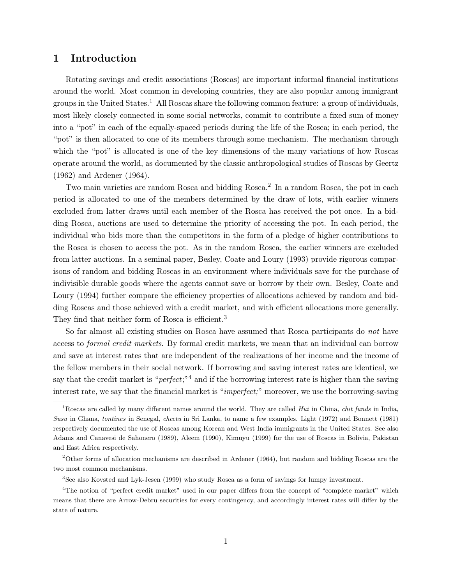## 1 Introduction

Rotating savings and credit associations (Roscas) are important informal financial institutions around the world. Most common in developing countries, they are also popular among immigrant groups in the United States.<sup>1</sup> All Roscas share the following common feature: a group of individuals, most likely closely connected in some social networks, commit to contribute a fixed sum of money into a "pot" in each of the equally-spaced periods during the life of the Rosca; in each period, the "pot" is then allocated to one of its members through some mechanism. The mechanism through which the "pot" is allocated is one of the key dimensions of the many variations of how Roscas operate around the world, as documented by the classic anthropological studies of Roscas by Geertz (1962) and Ardener (1964).

Two main varieties are random Rosca and bidding Rosca.<sup>2</sup> In a random Rosca, the pot in each period is allocated to one of the members determined by the draw of lots, with earlier winners excluded from latter draws until each member of the Rosca has received the pot once. In a bidding Rosca, auctions are used to determine the priority of accessing the pot. In each period, the individual who bids more than the competitors in the form of a pledge of higher contributions to the Rosca is chosen to access the pot. As in the random Rosca, the earlier winners are excluded from latter auctions. In a seminal paper, Besley, Coate and Loury (1993) provide rigorous comparisons of random and bidding Roscas in an environment where individuals save for the purchase of indivisible durable goods where the agents cannot save or borrow by their own. Besley, Coate and Loury (1994) further compare the efficiency properties of allocations achieved by random and bidding Roscas and those achieved with a credit market, and with efficient allocations more generally. They find that neither form of Rosca is efficient.<sup>3</sup>

So far almost all existing studies on Rosca have assumed that Rosca participants do not have access to formal credit markets. By formal credit markets, we mean that an individual can borrow and save at interest rates that are independent of the realizations of her income and the income of the fellow members in their social network. If borrowing and saving interest rates are identical, we say that the credit market is "*perfect*;"<sup>4</sup> and if the borrowing interest rate is higher than the saving interest rate, we say that the financial market is "imperfect;" moreover, we use the borrowing-saving

<sup>&</sup>lt;sup>1</sup>Roscas are called by many different names around the world. They are called *Hui* in China, *chit funds* in India, Susu in Ghana, tontines in Senegal, cheetu in Sri Lanka, to name a few examples. Light (1972) and Bonnett (1981) respectively documented the use of Roscas among Korean and West India immigrants in the United States. See also Adams and Canavesi de Sahonero (1989), Aleem (1990), Kimuyu (1999) for the use of Roscas in Bolivia, Pakistan and East Africa respectively.

<sup>2</sup>Other forms of allocation mechanisms are described in Ardener (1964), but random and bidding Roscas are the two most common mechanisms.

<sup>3</sup>See also Kovsted and Lyk-Jesen (1999) who study Rosca as a form of savings for lumpy investment.

<sup>&</sup>lt;sup>4</sup>The notion of "perfect credit market" used in our paper differs from the concept of "complete market" which means that there are Arrow-Debru securities for every contingency, and accordingly interest rates will differ by the state of nature.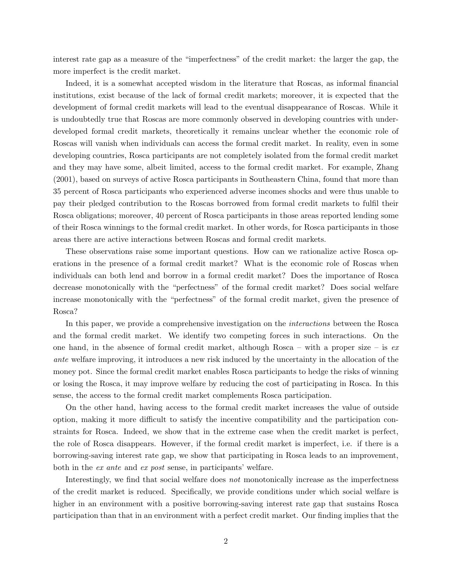interest rate gap as a measure of the "imperfectness" of the credit market: the larger the gap, the more imperfect is the credit market.

Indeed, it is a somewhat accepted wisdom in the literature that Roscas, as informal financial institutions, exist because of the lack of formal credit markets; moreover, it is expected that the development of formal credit markets will lead to the eventual disappearance of Roscas. While it is undoubtedly true that Roscas are more commonly observed in developing countries with underdeveloped formal credit markets, theoretically it remains unclear whether the economic role of Roscas will vanish when individuals can access the formal credit market. In reality, even in some developing countries, Rosca participants are not completely isolated from the formal credit market and they may have some, albeit limited, access to the formal credit market. For example, Zhang (2001), based on surveys of active Rosca participants in Southeastern China, found that more than 35 percent of Rosca participants who experienced adverse incomes shocks and were thus unable to pay their pledged contribution to the Roscas borrowed from formal credit markets to fulfil their Rosca obligations; moreover, 40 percent of Rosca participants in those areas reported lending some of their Rosca winnings to the formal credit market. In other words, for Rosca participants in those areas there are active interactions between Roscas and formal credit markets.

These observations raise some important questions. How can we rationalize active Rosca operations in the presence of a formal credit market? What is the economic role of Roscas when individuals can both lend and borrow in a formal credit market? Does the importance of Rosca decrease monotonically with the "perfectness" of the formal credit market? Does social welfare increase monotonically with the "perfectness" of the formal credit market, given the presence of Rosca?

In this paper, we provide a comprehensive investigation on the interactions between the Rosca and the formal credit market. We identify two competing forces in such interactions. On the one hand, in the absence of formal credit market, although Rosca – with a proper size – is  $ex$ ante welfare improving, it introduces a new risk induced by the uncertainty in the allocation of the money pot. Since the formal credit market enables Rosca participants to hedge the risks of winning or losing the Rosca, it may improve welfare by reducing the cost of participating in Rosca. In this sense, the access to the formal credit market complements Rosca participation.

On the other hand, having access to the formal credit market increases the value of outside option, making it more difficult to satisfy the incentive compatibility and the participation constraints for Rosca. Indeed, we show that in the extreme case when the credit market is perfect, the role of Rosca disappears. However, if the formal credit market is imperfect, i.e. if there is a borrowing-saving interest rate gap, we show that participating in Rosca leads to an improvement, both in the ex ante and ex post sense, in participants' welfare.

Interestingly, we find that social welfare does not monotonically increase as the imperfectness of the credit market is reduced. Specifically, we provide conditions under which social welfare is higher in an environment with a positive borrowing-saving interest rate gap that sustains Rosca participation than that in an environment with a perfect credit market. Our finding implies that the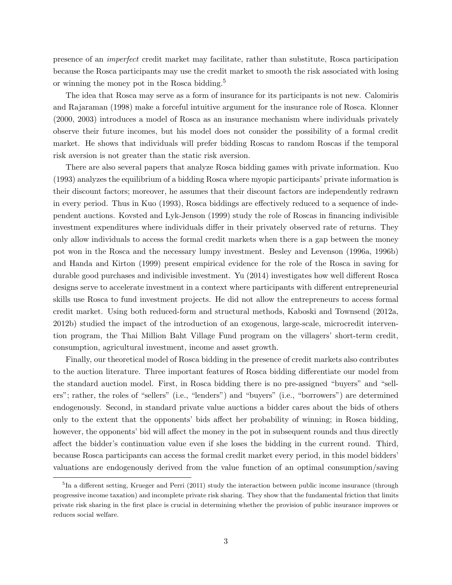presence of an imperfect credit market may facilitate, rather than substitute, Rosca participation because the Rosca participants may use the credit market to smooth the risk associated with losing or winning the money pot in the Rosca bidding.<sup>5</sup>

The idea that Rosca may serve as a form of insurance for its participants is not new. Calomiris and Rajaraman (1998) make a forceful intuitive argument for the insurance role of Rosca. Klonner (2000, 2003) introduces a model of Rosca as an insurance mechanism where individuals privately observe their future incomes, but his model does not consider the possibility of a formal credit market. He shows that individuals will prefer bidding Roscas to random Roscas if the temporal risk aversion is not greater than the static risk aversion.

There are also several papers that analyze Rosca bidding games with private information. Kuo (1993) analyzes the equilibrium of a bidding Rosca where myopic participants' private information is their discount factors; moreover, he assumes that their discount factors are independently redrawn in every period. Thus in Kuo (1993), Rosca biddings are effectively reduced to a sequence of independent auctions. Kovsted and Lyk-Jenson (1999) study the role of Roscas in financing indivisible investment expenditures where individuals differ in their privately observed rate of returns. They only allow individuals to access the formal credit markets when there is a gap between the money pot won in the Rosca and the necessary lumpy investment. Besley and Levenson (1996a, 1996b) and Handa and Kirton (1999) present empirical evidence for the role of the Rosca in saving for durable good purchases and indivisible investment. Yu (2014) investigates how well different Rosca designs serve to accelerate investment in a context where participants with different entrepreneurial skills use Rosca to fund investment projects. He did not allow the entrepreneurs to access formal credit market. Using both reduced-form and structural methods, Kaboski and Townsend (2012a, 2012b) studied the impact of the introduction of an exogenous, large-scale, microcredit intervention program, the Thai Million Baht Village Fund program on the villagers' short-term credit, consumption, agricultural investment, income and asset growth.

Finally, our theoretical model of Rosca bidding in the presence of credit markets also contributes to the auction literature. Three important features of Rosca bidding differentiate our model from the standard auction model. First, in Rosca bidding there is no pre-assigned "buyers" and "sellers"; rather, the roles of "sellers" (i.e., "lenders") and "buyers" (i.e., "borrowers") are determined endogenously. Second, in standard private value auctions a bidder cares about the bids of others only to the extent that the opponents' bids affect her probability of winning; in Rosca bidding, however, the opponents' bid will affect the money in the pot in subsequent rounds and thus directly affect the bidder's continuation value even if she loses the bidding in the current round. Third, because Rosca participants can access the formal credit market every period, in this model bidders' valuations are endogenously derived from the value function of an optimal consumption/saving

<sup>&</sup>lt;sup>5</sup>In a different setting, Krueger and Perri (2011) study the interaction between public income insurance (through progressive income taxation) and incomplete private risk sharing. They show that the fundamental friction that limits private risk sharing in the first place is crucial in determining whether the provision of public insurance improves or reduces social welfare.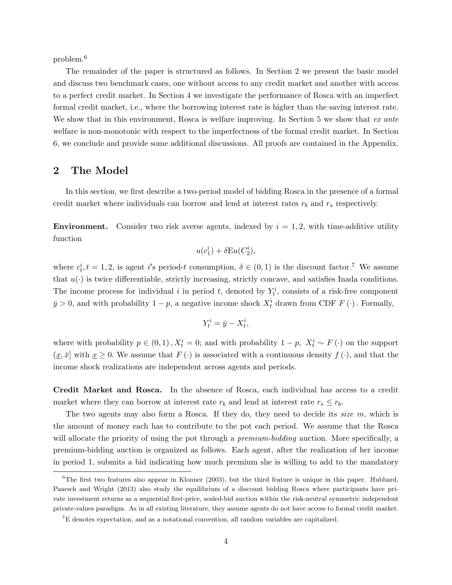problem.<sup>6</sup>

The remainder of the paper is structured as follows. In Section 2 we present the basic model and discuss two benchmark cases, one without access to any credit market and another with access to a perfect credit market. In Section 4 we investigate the performance of Rosca with an imperfect formal credit market, i.e., where the borrowing interest rate is higher than the saving interest rate. We show that in this environment, Rosca is welfare improving. In Section 5 we show that  $ex$  ante welfare is non-monotonic with respect to the imperfectness of the formal credit market. In Section 6, we conclude and provide some additional discussions. All proofs are contained in the Appendix.

## 2 The Model

In this section, we first describe a two-period model of bidding Rosca in the presence of a formal credit market where individuals can borrow and lend at interest rates  $r_b$  and  $r_s$  respectively.

**Environment.** Consider two risk averse agents, indexed by  $i = 1, 2$ , with time-additive utility function

$$
u(c_1^i) + \delta \mathcal{E} u(C_2^i),
$$

where  $c_t^i$ ,  $t = 1, 2$ , is agent i's period-t consumption,  $\delta \in (0, 1)$  is the discount factor.<sup>7</sup> We assume that  $u(\cdot)$  is twice differentiable, strictly increasing, strictly concave, and satisfies Inada conditions. The income process for individual i in period t, denoted by  $Y_t^i$ , consists of a risk-free component  $\bar{y} > 0$ , and with probability  $1 - p$ , a negative income shock  $X_t^i$  drawn from CDF  $F(\cdot)$ . Formally,

$$
Y_t^i = \bar{y} - X_t^i,
$$

where with probability  $p \in (0,1)$ ,  $X_t^i = 0$ ; and with probability  $1 - p$ ,  $X_t^i \sim F(\cdot)$  on the support  $(\underline{x}, \overline{x}]$  with  $\underline{x} \geq 0$ . We assume that  $F(\cdot)$  is associated with a continuous density  $f(\cdot)$ , and that the income shock realizations are independent across agents and periods.

Credit Market and Rosca. In the absence of Rosca, each individual has access to a credit market where they can borrow at interest rate  $r_b$  and lend at interest rate  $r_s \leq r_b$ .

The two agents may also form a Rosca. If they do, they need to decide its size  $m$ , which is the amount of money each has to contribute to the pot each period. We assume that the Rosca will allocate the priority of using the pot through a *premium-bidding* auction. More specifically, a premium-bidding auction is organized as follows. Each agent, after the realization of her income in period 1, submits a bid indicating how much premium she is willing to add to the mandatory

 $6$ The first two features also appear in Klonner (2003), but the third feature is unique in this paper. Hubbard, Paarsch and Wright (2013) also study the equilibrium of a discount bidding Rosca where participants have private investment returns as a sequential first-price, sealed-bid auction within the risk-neutral symmetric independent private-values paradigm. As in all existing literature, they assume agents do not have access to formal credit market.

<sup>7</sup>E denotes expectation, and as a notational convention, all random variables are capitalized.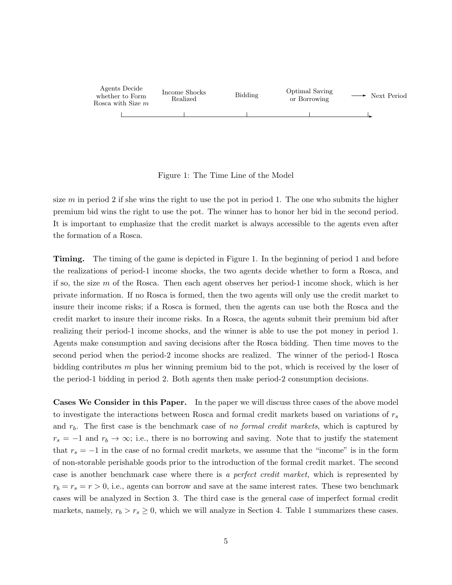| Agents Decide<br>whether to Form<br>Rosca with Size $m$ | Income Shocks<br>Realized | Bidding | <b>Optimal Saving</b><br>or Borrowing | Next Period |
|---------------------------------------------------------|---------------------------|---------|---------------------------------------|-------------|
|                                                         |                           |         |                                       |             |

#### Figure 1: The Time Line of the Model

size m in period 2 if she wins the right to use the pot in period 1. The one who submits the higher premium bid wins the right to use the pot. The winner has to honor her bid in the second period. It is important to emphasize that the credit market is always accessible to the agents even after the formation of a Rosca.

Timing. The timing of the game is depicted in Figure 1. In the beginning of period 1 and before the realizations of period-1 income shocks, the two agents decide whether to form a Rosca, and if so, the size m of the Rosca. Then each agent observes her period-1 income shock, which is her private information. If no Rosca is formed, then the two agents will only use the credit market to insure their income risks; if a Rosca is formed, then the agents can use both the Rosca and the credit market to insure their income risks. In a Rosca, the agents submit their premium bid after realizing their period-1 income shocks, and the winner is able to use the pot money in period 1. Agents make consumption and saving decisions after the Rosca bidding. Then time moves to the second period when the period-2 income shocks are realized. The winner of the period-1 Rosca bidding contributes m plus her winning premium bid to the pot, which is received by the loser of the period-1 bidding in period 2. Both agents then make period-2 consumption decisions.

Cases We Consider in this Paper. In the paper we will discuss three cases of the above model to investigate the interactions between Rosca and formal credit markets based on variations of  $r_s$ and  $r<sub>b</sub>$ . The first case is the benchmark case of no formal credit markets, which is captured by  $r_s = -1$  and  $r_b \to \infty$ ; i.e., there is no borrowing and saving. Note that to justify the statement that  $r_s = -1$  in the case of no formal credit markets, we assume that the "income" is in the form of non-storable perishable goods prior to the introduction of the formal credit market. The second case is another benchmark case where there is a perfect credit market, which is represented by  $r_b = r_s = r > 0$ , i.e., agents can borrow and save at the same interest rates. These two benchmark cases will be analyzed in Section 3. The third case is the general case of imperfect formal credit markets, namely,  $r_b > r_s \geq 0$ , which we will analyze in Section 4. Table 1 summarizes these cases.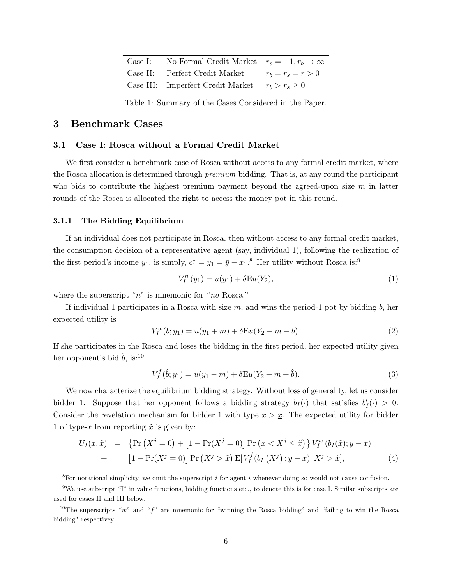| Case I: | No Formal Credit Market $r_s = -1, r_b \rightarrow \infty$ |                     |
|---------|------------------------------------------------------------|---------------------|
|         | Case II: Perfect Credit Market                             | $r_b = r_s = r > 0$ |
|         | Case III: Imperfect Credit Market $r_b > r_s > 0$          |                     |

Table 1: Summary of the Cases Considered in the Paper.

### 3 Benchmark Cases

#### 3.1 Case I: Rosca without a Formal Credit Market

We first consider a benchmark case of Rosca without access to any formal credit market, where the Rosca allocation is determined through premium bidding. That is, at any round the participant who bids to contribute the highest premium payment beyond the agreed-upon size  $m$  in latter rounds of the Rosca is allocated the right to access the money pot in this round.

#### 3.1.1 The Bidding Equilibrium

If an individual does not participate in Rosca, then without access to any formal credit market, the consumption decision of a representative agent (say, individual 1), following the realization of the first period's income  $y_1$ , is simply,  $c_1^* = y_1 = \bar{y} - x_1$ .<sup>8</sup> Her utility without Rosca is:<sup>9</sup>

$$
V_I^n(y_1) = u(y_1) + \delta \mathcal{E} u(Y_2), \tag{1}
$$

where the superscript " $n$ " is mnemonic for " $no$  Rosca."

If individual 1 participates in a Rosca with size  $m$ , and wins the period-1 pot by bidding  $b$ , her expected utility is

$$
V_I^w(b; y_1) = u(y_1 + m) + \delta \mathcal{E} u(Y_2 - m - b).
$$
\n(2)

If she participates in the Rosca and loses the bidding in the first period, her expected utility given her opponent's bid  $\hat{b}$ , is:<sup>10</sup>

$$
V_I^f(\hat{b}; y_1) = u(y_1 - m) + \delta \mathcal{E}u(Y_2 + m + \hat{b}). \tag{3}
$$

We now characterize the equilibrium bidding strategy. Without loss of generality, let us consider bidder 1. Suppose that her opponent follows a bidding strategy  $b_I(\cdot)$  that satisfies  $b'_I(\cdot) > 0$ . Consider the revelation mechanism for bidder 1 with type  $x > x$ . The expected utility for bidder 1 of type-x from reporting  $\tilde{x}$  is given by:

$$
U_I(x,\tilde{x}) = \left\{ \Pr\left(X^j = 0\right) + \left[1 - \Pr(X^j = 0)\right] \Pr\left(\underline{x} < X^j \leq \tilde{x}\right) \right\} V_I^w\left(b_I(\tilde{x}); \bar{y} - x\right) + \left[1 - \Pr(X^j = 0)\right] \Pr\left(X^j > \tilde{x}\right) \mathbb{E}\left[V_I^f\left(b_I\left(X^j\right); \bar{y} - x\right) \middle| X^j > \tilde{x}\right],\right\} \tag{4}
$$

 ${}^{8}$ For notational simplicity, we omit the superscript *i* for agent *i* whenever doing so would not cause confusion.

<sup>9</sup>We use subscript "I" in value functions, bidding functions etc., to denote this is for case I. Similar subscripts are used for cases II and III below.

<sup>&</sup>lt;sup>10</sup>The superscripts "w" and "f" are mnemonic for "winning the Rosca bidding" and "failing to win the Rosca bidding" respectivey.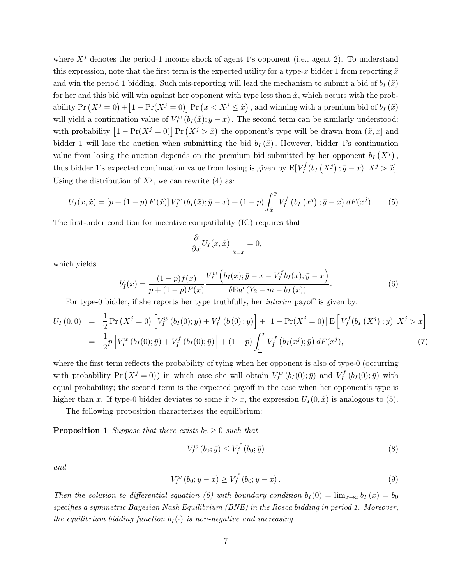where  $X^j$  denotes the period-1 income shock of agent 1's opponent (i.e., agent 2). To understand this expression, note that the first term is the expected utility for a type-x bidder 1 from reporting  $\tilde{x}$ and win the period 1 bidding. Such mis-reporting will lead the mechanism to submit a bid of  $b_I(\tilde{x})$ for her and this bid will win against her opponent with type less than  $\tilde{x}$ , which occurs with the probability  $Pr(X^j = 0) + [1 - Pr(X^j = 0)] Pr(\underline{x} < X^j \leq \tilde{x})$ , and winning with a premium bid of  $b_I(\tilde{x})$ will yield a continuation value of  $V_I^w(b_I(\tilde{x}); \bar{y} - x)$ . The second term can be similarly understood: with probability  $\left[1 - \Pr(X^j = 0)\right] \Pr(X^j > \tilde{x})$  the opponent's type will be drawn from  $(\tilde{x}, \overline{x})$  and bidder 1 will lose the auction when submitting the bid  $b_I(\tilde{x})$ . However, bidder 1's continuation value from losing the auction depends on the premium bid submitted by her opponent  $b_I(X^j)$ , thus bidder 1's expected continuation value from losing is given by  $E[V_I^f]$  $I_I^f(b_I(X^j);\bar{y}-x)\Big|$  $X^j > \tilde{x}$ . Using the distribution of  $X^j$ , we can rewrite (4) as:

$$
U_I(x, \tilde{x}) = [p + (1 - p) F(\tilde{x})] V_I^w (b_I(\tilde{x}); \bar{y} - x) + (1 - p) \int_{\tilde{x}}^{\bar{x}} V_I^f (b_I(x^j); \bar{y} - x) dF(x^j).
$$
 (5)

The first-order condition for incentive compatibility (IC) requires that

$$
\left. \frac{\partial}{\partial \tilde{x}} U_I(x, \tilde{x}) \right|_{\tilde{x}=x} = 0,
$$

which yields

$$
b'_{I}(x) = \frac{(1-p)f(x)}{p+(1-p)F(x)} \frac{V_{I}^{w}\left(b_{I}(x); \bar{y}-x-V_{I}^{f}b_{I}(x); \bar{y}-x\right)}{\delta \mathbf{E} u'\left(Y_{2}-m-b_{I}(x)\right)}.
$$
(6)

For type-0 bidder, if she reports her type truthfully, her interim payoff is given by:

$$
U_I(0,0) = \frac{1}{2} \Pr(X^j = 0) \left[ V_I^w(b_I(0); \bar{y}) + V_I^f(b(0); \bar{y}) \right] + \left[ 1 - \Pr(X^j = 0) \right] E \left[ V_I^f(b_I(X^j); \bar{y}) \right] X^j > \underline{x} \right]
$$
  
= 
$$
\frac{1}{2} p \left[ V_I^w(b_I(0); \bar{y}) + V_I^f(b_I(0); \bar{y}) \right] + (1 - p) \int_{\underline{x}}^{\bar{x}} V_I^f(b_I(x^j); \bar{y}) dF(x^j), \tag{7}
$$

where the first term reflects the probability of tying when her opponent is also of type-0 (occurring with probability  $Pr(X^j = 0)$  in which case she will obtain  $V_I^w(b_I(0); \bar{y})$  and  $V_I^f$  $I_I^{IJ}(b_I(0); \bar{y})$  with equal probability; the second term is the expected payoff in the case when her opponent's type is higher than x. If type-0 bidder deviates to some  $\tilde{x} > x$ , the expression  $U_I(0, \tilde{x})$  is analogous to (5).

The following proposition characterizes the equilibrium:

**Proposition 1** Suppose that there exists  $b_0 \geq 0$  such that

$$
V_I^w(b_0; \bar{y}) \le V_I^f(b_0; \bar{y})
$$
\n
$$
(8)
$$

and

$$
V_I^w(b_0; \bar{y} - \underline{x}) \ge V_I^f(b_0; \bar{y} - \underline{x}). \tag{9}
$$

Then the solution to differential equation (6) with boundary condition  $b_I(0) = \lim_{x\to x} b_I(x) = b_0$ specifies a symmetric Bayesian Nash Equilibrium (BNE) in the Rosca bidding in period 1. Moreover, the equilibrium bidding function  $b_I(\cdot)$  is non-negative and increasing.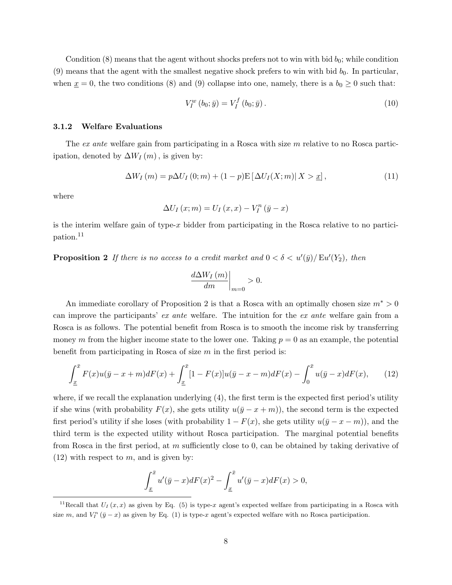Condition  $(8)$  means that the agent without shocks prefers not to win with bid  $b<sub>0</sub>$ ; while condition (9) means that the agent with the smallest negative shock prefers to win with bid  $b_0$ . In particular, when  $x = 0$ , the two conditions (8) and (9) collapse into one, namely, there is a  $b_0 \ge 0$  such that:

$$
V_I^w(b_0; \bar{y}) = V_I^f(b_0; \bar{y}).
$$
\n(10)

#### 3.1.2 Welfare Evaluations

The ex ante welfare gain from participating in a Rosca with size m relative to no Rosca participation, denoted by  $\Delta W_I(m)$ , is given by:

$$
\Delta W_I(m) = p\Delta U_I(0; m) + (1 - p)\mathbb{E}\left[\Delta U_I(X; m)| X > \underline{x}\right],\tag{11}
$$

where

$$
\Delta U_I(x; m) = U_I(x, x) - V_I^n(\bar{y} - x)
$$

is the interim welfare gain of type-x bidder from participating in the Rosca relative to no participation.<sup>11</sup>

**Proposition 2** If there is no access to a credit market and  $0 < \delta < u'(\bar{y})/ \text{Eu}'(Y_2)$ , then

$$
\left. \frac{d\Delta W_I\left( m\right) }{dm}\right|_{m=0}>0.
$$

An immediate corollary of Proposition 2 is that a Rosca with an optimally chosen size  $m^* > 0$ can improve the participants' ex ante welfare. The intuition for the ex ante welfare gain from a Rosca is as follows. The potential benefit from Rosca is to smooth the income risk by transferring money m from the higher income state to the lower one. Taking  $p = 0$  as an example, the potential benefit from participating in Rosca of size  $m$  in the first period is:

$$
\int_{\underline{x}}^{\bar{x}} F(x)u(\bar{y} - x + m)dF(x) + \int_{\underline{x}}^{\bar{x}} [1 - F(x)]u(\bar{y} - x - m)dF(x) - \int_{0}^{\bar{x}} u(\bar{y} - x)dF(x), \qquad (12)
$$

where, if we recall the explanation underlying (4), the first term is the expected first period's utility if she wins (with probability  $F(x)$ , she gets utility  $u(\bar{y} - x + m)$ ), the second term is the expected first period's utility if she loses (with probability  $1 - F(x)$ , she gets utility  $u(\bar{y} - x - m)$ ), and the third term is the expected utility without Rosca participation. The marginal potential benefits from Rosca in the first period, at m sufficiently close to 0, can be obtained by taking derivative of  $(12)$  with respect to m, and is given by:

$$
\int_{\underline{x}}^{\overline{x}} u'(\overline{y}-x)dF(x)^2 - \int_{\underline{x}}^{\overline{x}} u'(\overline{y}-x)dF(x) > 0,
$$

<sup>&</sup>lt;sup>11</sup>Recall that  $U_I(x, x)$  as given by Eq. (5) is type-x agent's expected welfare from participating in a Rosca with size m, and  $V_I^n(\bar{y}-x)$  as given by Eq. (1) is type-x agent's expected welfare with no Rosca participation.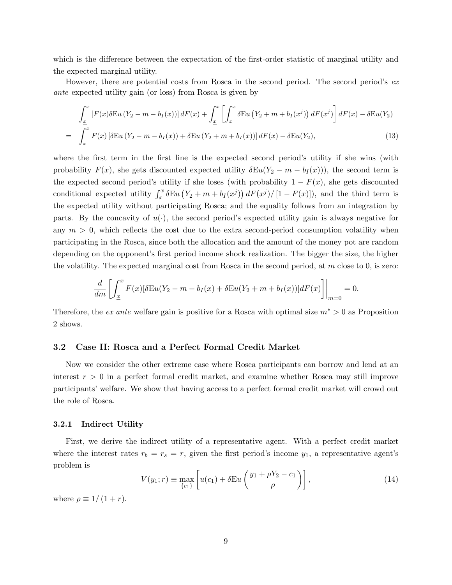which is the difference between the expectation of the first-order statistic of marginal utility and the expected marginal utility.

However, there are potential costs from Rosca in the second period. The second period's ex ante expected utility gain (or loss) from Rosca is given by

$$
\int_{\underline{x}}^{\overline{x}} \left[ F(x) \delta \mathrm{Eu} \left( Y_2 - m - b_I(x) \right) \right] dF(x) + \int_{\underline{x}}^{\overline{x}} \left[ \int_x^{\overline{x}} \delta \mathrm{Eu} \left( Y_2 + m + b_I(x^j) \right) dF(x^j) \right] dF(x) - \delta \mathrm{Eu}(Y_2)
$$
\n
$$
= \int_{\underline{x}}^{\overline{x}} F(x) \left[ \delta \mathrm{Eu} \left( Y_2 - m - b_I(x) \right) + \delta \mathrm{Eu} \left( Y_2 + m + b_I(x) \right) \right] dF(x) - \delta \mathrm{Eu}(Y_2), \tag{13}
$$

where the first term in the first line is the expected second period's utility if she wins (with probability  $F(x)$ , she gets discounted expected utility  $\delta \mathcal{E} u(Y_2 - m - b_I(x))$ , the second term is the expected second period's utility if she loses (with probability  $1 - F(x)$ , she gets discounted conditional expected utility  $\int_x^{\bar{x}} \delta \mathbf{E} u (Y_2 + m + b_I(x^j)) dF(x^j) / [1 - F(x)]$ , and the third term is the expected utility without participating Rosca; and the equality follows from an integration by parts. By the concavity of  $u(\cdot)$ , the second period's expected utility gain is always negative for any  $m > 0$ , which reflects the cost due to the extra second-period consumption volatility when participating in the Rosca, since both the allocation and the amount of the money pot are random depending on the opponent's first period income shock realization. The bigger the size, the higher the volatility. The expected marginal cost from Rosca in the second period, at  $m$  close to 0, is zero:

$$
\frac{d}{dm}\left[\int_{\underline{x}}^{\overline{x}} F(x)[\delta \mathcal{E}u(Y_2 - m - b_I(x) + \delta \mathcal{E}u(Y_2 + m + b_I(x))]dF(x)\right]\bigg|_{m=0} = 0.
$$

Therefore, the ex ante welfare gain is positive for a Rosca with optimal size  $m^* > 0$  as Proposition 2 shows.

#### 3.2 Case II: Rosca and a Perfect Formal Credit Market

Now we consider the other extreme case where Rosca participants can borrow and lend at an interest  $r > 0$  in a perfect formal credit market, and examine whether Rosca may still improve participants' welfare. We show that having access to a perfect formal credit market will crowd out the role of Rosca.

#### 3.2.1 Indirect Utility

First, we derive the indirect utility of a representative agent. With a perfect credit market where the interest rates  $r_b = r_s = r$ , given the first period's income  $y_1$ , a representative agent's problem is

$$
V(y_1; r) \equiv \max_{\{c_1\}} \left[ u(c_1) + \delta \mathcal{E} u \left( \frac{y_1 + \rho Y_2 - c_1}{\rho} \right) \right],\tag{14}
$$

where  $\rho \equiv 1/(1+r)$ .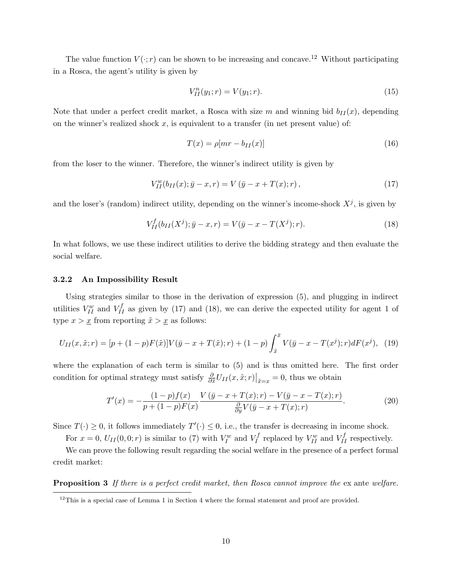The value function  $V(\cdot; r)$  can be shown to be increasing and concave.<sup>12</sup> Without participating in a Rosca, the agent's utility is given by

$$
V_{II}^n(y_1; r) = V(y_1; r). \tag{15}
$$

Note that under a perfect credit market, a Rosca with size m and winning bid  $b_{II}(x)$ , depending on the winner's realized shock  $x$ , is equivalent to a transfer (in net present value) of:

$$
T(x) = \rho[mr - b_{II}(x)] \tag{16}
$$

from the loser to the winner. Therefore, the winner's indirect utility is given by

$$
V_{II}^{w}(b_{II}(x); \bar{y} - x, r) = V(\bar{y} - x + T(x); r), \qquad (17)
$$

and the loser's (random) indirect utility, depending on the winner's income-shock  $X^j$ , is given by

$$
V_{II}^{f}(b_{II}(X^{j}); \bar{y} - x, r) = V(\bar{y} - x - T(X^{j}); r).
$$
\n(18)

In what follows, we use these indirect utilities to derive the bidding strategy and then evaluate the social welfare.

#### 3.2.2 An Impossibility Result

Using strategies similar to those in the derivation of expression (5), and plugging in indirect utilities  $V_{II}^w$  and  $V_{II}^f$  as given by (17) and (18), we can derive the expected utility for agent 1 of type  $x > x$  from reporting  $\tilde{x} > x$  as follows:

$$
U_{II}(x, \tilde{x}; r) = [p + (1 - p)F(\tilde{x})]V(\bar{y} - x + T(\tilde{x}); r) + (1 - p)\int_{\tilde{x}}^{\bar{x}} V(\bar{y} - x - T(x^j); r)dF(x^j), \tag{19}
$$

where the explanation of each term is similar to  $(5)$  and is thus omitted here. The first order condition for optimal strategy must satisfy  $\frac{\partial}{\partial \tilde{x}} U_{II}(x, \tilde{x}; r)\big|_{\tilde{x}=x} = 0$ , thus we obtain

$$
T'(x) = -\frac{(1-p)f(x)}{p+(1-p)F(x)} \frac{V(\bar{y}-x+T(x);r) - V(\bar{y}-x-T(x);r)}{\frac{\partial}{\partial y}V(\bar{y}-x+T(x);r)}.
$$
(20)

Since  $T(\cdot) \geq 0$ , it follows immediately  $T'(\cdot) \leq 0$ , i.e., the transfer is decreasing in income shock.

For  $x = 0$ ,  $U_{II}(0,0; r)$  is similar to (7) with  $V_I^w$  and  $V_I^f$  $V_I^f$  replaced by  $V_{II}^w$  and  $V_{II}^f$  respectively.

We can prove the following result regarding the social welfare in the presence of a perfect formal credit market:

Proposition 3 If there is a perfect credit market, then Rosca cannot improve the ex ante welfare.

 $12$ This is a special case of Lemma 1 in Section 4 where the formal statement and proof are provided.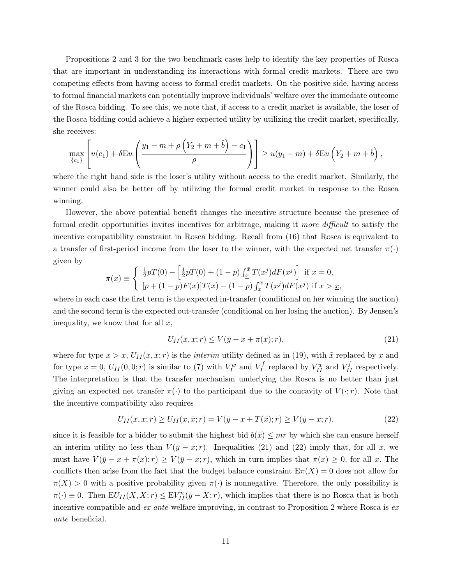Propositions 2 and 3 for the two benchmark cases help to identify the key properties of Rosca that are important in understanding its interactions with formal credit markets. There are two competing effects from having access to formal credit markets. On the positive side, having access to formal financial markets can potentially improve individuals' welfare over the immediate outcome of the Rosca bidding. To see this, we note that, if access to a credit market is available, the loser of the Rosca bidding could achieve a higher expected utility by utilizing the credit market, specifically, she receives:

$$
\max_{\{c_1\}} \left[ u(c_1) + \delta \mathcal{E} u \left( \frac{y_1 - m + \rho \left( Y_2 + m + \hat{b} \right) - c_1}{\rho} \right) \right] \geq u(y_1 - m) + \delta \mathcal{E} u \left( Y_2 + m + \hat{b} \right),
$$

where the right hand side is the loser's utility without access to the credit market. Similarly, the winner could also be better off by utilizing the formal credit market in response to the Rosca winning.

However, the above potential benefit changes the incentive structure because the presence of formal credit opportunities invites incentives for arbitrage, making it more difficult to satisfy the incentive compatibility constraint in Rosca bidding. Recall from (16) that Rosca is equivalent to a transfer of first-period income from the loser to the winner, with the expected net transfer  $\pi(\cdot)$ given by

$$
\pi(x) \equiv \begin{cases} \frac{1}{2} pT(0) - \left[ \frac{1}{2} pT(0) + (1-p) \int_{\underline{x}}^{\overline{x}} T(x^j) dF(x^j) \right] & \text{if } x = 0, \\ [p + (1-p)F(x)]T(x) - (1-p) \int_{\underline{x}}^{\overline{x}} T(x^j) dF(x^j) & \text{if } x > \underline{x}, \end{cases}
$$

where in each case the first term is the expected in-transfer (conditional on her winning the auction) and the second term is the expected out-transfer (conditional on her losing the auction). By Jensen's inequality, we know that for all  $x$ ,

$$
U_{II}(x,x;r) \le V(\bar{y}-x+\pi(x);r),\tag{21}
$$

where for type  $x > \underline{x}$ ,  $U_{II}(x, x; r)$  is the *interim* utility defined as in (19), with  $\tilde{x}$  replaced by x and for type  $x = 0$ ,  $U_{II}(0,0; r)$  is similar to (7) with  $V_I^w$  and  $V_I^f$  $V_I^f$  replaced by  $V_{II}^w$  and  $V_{II}^f$  respectively. The interpretation is that the transfer mechanism underlying the Rosca is no better than just giving an expected net transfer  $\pi(\cdot)$  to the participant due to the concavity of  $V(\cdot;r)$ . Note that the incentive compatibility also requires

$$
U_{II}(x,x;r) \ge U_{II}(x,\bar{x};r) = V(\bar{y}-x+T(\bar{x});r) \ge V(\bar{y}-x;r),
$$
\n(22)

since it is feasible for a bidder to submit the highest bid  $b(\bar{x}) \leq mr$  by which she can ensure herself an interim utility no less than  $V(\bar{y} - x; r)$ . Inequalities (21) and (22) imply that, for all x, we must have  $V(\bar{y} - x + \pi(x); r) \ge V(\bar{y} - x; r)$ , which in turn implies that  $\pi(x) \ge 0$ , for all x. The conflicts then arise from the fact that the budget balance constraint  $E\pi(X) = 0$  does not allow for  $\pi(X) > 0$  with a positive probability given  $\pi(\cdot)$  is nonnegative. Therefore, the only possibility is  $\pi(\cdot) \equiv 0$ . Then  $EU_{II}(X,X; r) \leq EV_{II}^n(\bar{y}-X; r)$ , which implies that there is no Rosca that is both incentive compatible and ex ante welfare improving, in contrast to Proposition 2 where Rosca is ex ante beneficial.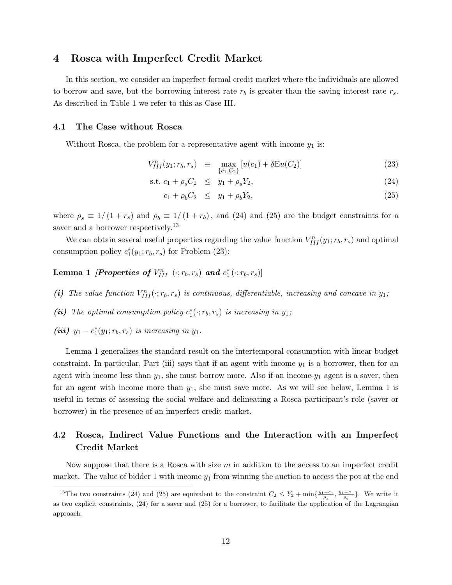## 4 Rosca with Imperfect Credit Market

In this section, we consider an imperfect formal credit market where the individuals are allowed to borrow and save, but the borrowing interest rate  $r_b$  is greater than the saving interest rate  $r_s$ . As described in Table 1 we refer to this as Case III.

#### 4.1 The Case without Rosca

Without Rosca, the problem for a representative agent with income  $y_1$  is:

$$
V_{III}^{n}(y_1; r_b, r_s) \equiv \max_{\{c_1, C_2\}} [u(c_1) + \delta \mathcal{E}u(C_2)] \tag{23}
$$

s.t. 
$$
c_1 + \rho_s C_2 \leq y_1 + \rho_s Y_2,
$$
 (24)

$$
c_1 + \rho_b C_2 \leq y_1 + \rho_b Y_2,\tag{25}
$$

where  $\rho_s \equiv 1/(1 + r_s)$  and  $\rho_b \equiv 1/(1 + r_b)$ , and (24) and (25) are the budget constraints for a saver and a borrower respectively.<sup>13</sup>

We can obtain several useful properties regarding the value function  $V_{III}^n(y_1; r_b, r_s)$  and optimal consumption policy  $c_1^*(y_1; r_b, r_s)$  for Problem (23):

Lemma 1 *[Properties of*  $V^n_{III}$  $(\cdot;r_b,r_s)$  *and*  $c_1^*(\cdot;r_b,r_s)]$ 

- (i) The value function  $V_{III}^n(\cdot; r_b, r_s)$  is continuous, differentiable, increasing and concave in  $y_1$ ;
- (ii) The optimal consumption policy  $c_1^*(\cdot; r_b, r_s)$  is increasing in  $y_1$ ;
- (iii)  $y_1 c_1^*(y_1; r_b, r_s)$  is increasing in  $y_1$ .

Lemma 1 generalizes the standard result on the intertemporal consumption with linear budget constraint. In particular, Part (iii) says that if an agent with income  $y_1$  is a borrower, then for an agent with income less than  $y_1$ , she must borrow more. Also if an income- $y_1$  agent is a saver, then for an agent with income more than  $y_1$ , she must save more. As we will see below, Lemma 1 is useful in terms of assessing the social welfare and delineating a Rosca participant's role (saver or borrower) in the presence of an imperfect credit market.

# 4.2 Rosca, Indirect Value Functions and the Interaction with an Imperfect Credit Market

Now suppose that there is a Rosca with size  $m$  in addition to the access to an imperfect credit market. The value of bidder 1 with income  $y_1$  from winning the auction to access the pot at the end

<sup>&</sup>lt;sup>13</sup>The two constraints (24) and (25) are equivalent to the constraint  $C_2 \le Y_2 + \min\{\frac{y_1 - c_1}{\rho_s}, \frac{y_1 - c_1}{\rho_b}\}\.$  We write it as two explicit constraints, (24) for a saver and (25) for a borrower, to facilitate the application of the Lagrangian approach.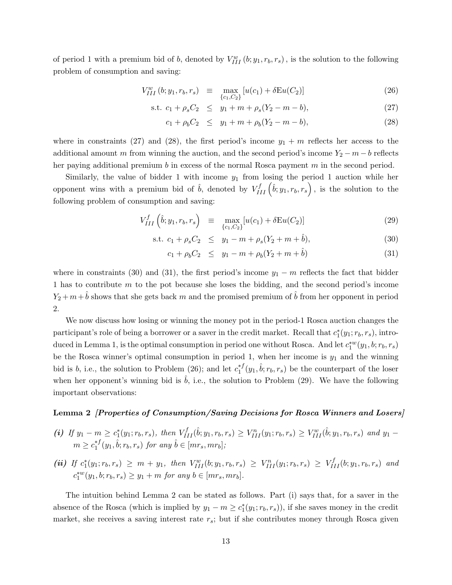of period 1 with a premium bid of b, denoted by  $V_{III}^w(b; y_1, r_b, r_s)$ , is the solution to the following problem of consumption and saving:

$$
V_{III}^{w} (b; y_1, r_b, r_s) \equiv \max_{\{c_1, C_2\}} [u(c_1) + \delta \mathcal{E} u(C_2)] \tag{26}
$$

s.t. 
$$
c_1 + \rho_s C_2 \leq y_1 + m + \rho_s (Y_2 - m - b),
$$
 (27)

$$
c_1 + \rho_b C_2 \leq y_1 + m + \rho_b (Y_2 - m - b), \tag{28}
$$

where in constraints (27) and (28), the first period's income  $y_1 + m$  reflects her access to the additional amount m from winning the auction, and the second period's income  $Y_2 - m - b$  reflects her paying additional premium  $b$  in excess of the normal Rosca payment  $m$  in the second period.

Similarly, the value of bidder 1 with income  $y_1$  from losing the period 1 auction while her opponent wins with a premium bid of  $\hat{b}$ , denoted by  $V_{III}^f(\hat{b}; y_1, r_b, r_s)$ , is the solution to the following problem of consumption and saving:

$$
V_{III}^{f}\left(\hat{b}; y_1, r_b, r_s\right) \equiv \max_{\{c_1, C_2\}} [u(c_1) + \delta \mathcal{E}u(C_2)] \tag{29}
$$

s.t. 
$$
c_1 + \rho_s C_2 \leq y_1 - m + \rho_s (Y_2 + m + \hat{b}),
$$
 (30)

$$
c_1 + \rho_b C_2 \leq y_1 - m + \rho_b (Y_2 + m + \hat{b}) \tag{31}
$$

where in constraints (30) and (31), the first period's income  $y_1 - m$  reflects the fact that bidder 1 has to contribute m to the pot because she loses the bidding, and the second period's income  $Y_2 + m + \hat{b}$  shows that she gets back m and the promised premium of  $\hat{b}$  from her opponent in period 2.

We now discuss how losing or winning the money pot in the period-1 Rosca auction changes the participant's role of being a borrower or a saver in the credit market. Recall that  $c_1^*(y_1; r_b, r_s)$ , introduced in Lemma 1, is the optimal consumption in period one without Rosca. And let  $c_1^{*w}(y_1, b; r_b, r_s)$ be the Rosca winner's optimal consumption in period 1, when her income is  $y_1$  and the winning bid is b, i.e., the solution to Problem (26); and let  $c_1^{*f}$  $i_1^{*f}(y_1, \hat{b}; r_b, r_s)$  be the counterpart of the loser when her opponent's winning bid is  $b$ , i.e., the solution to Problem  $(29)$ . We have the following important observations:

#### Lemma 2 [Properties of Consumption/Saving Decisions for Rosca Winners and Losers]

- (i) If  $y_1 m \geq c_1^*(y_1; r_b, r_s)$ , then  $V_{III}^f(\hat{b}; y_1, r_b, r_s) \geq V_{III}^n(y_1; r_b, r_s) \geq V_{III}^w(\hat{b}; y_1, r_b, r_s)$  and  $y_1$  $m \geq c_1^{*f}$  $i_1^{*f}(y_1, \hat{b}; r_b, r_s)$  for any  $\hat{b} \in [mr_s, mr_b];$
- (ii) If  $c_1^*(y_1; r_b, r_s) \geq m + y_1$ , then  $V_{III}^w(b; y_1, r_b, r_s) \geq V_{III}^n(y_1; r_b, r_s) \geq V_{III}^f(b; y_1, r_b, r_s)$  and  $c_1^{*w}(y_1, b; r_b, r_s) \ge y_1 + m$  for any  $b \in [mr_s, mr_b]$ .

The intuition behind Lemma 2 can be stated as follows. Part (i) says that, for a saver in the absence of the Rosca (which is implied by  $y_1 - m \geq c_1^*(y_1; r_b, r_s)$ ), if she saves money in the credit market, she receives a saving interest rate  $r_s$ ; but if she contributes money through Rosca given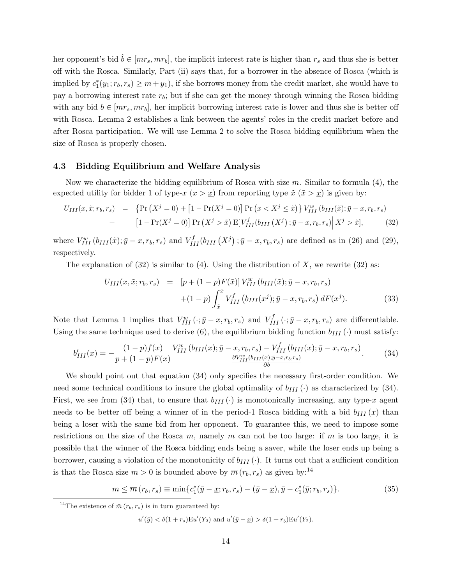her opponent's bid  $\tilde{b} \in [mr_s, mr_b]$ , the implicit interest rate is higher than  $r_s$  and thus she is better off with the Rosca. Similarly, Part (ii) says that, for a borrower in the absence of Rosca (which is implied by  $c_1^*(y_1; r_b, r_s) \geq m + y_1$ , if she borrows money from the credit market, she would have to pay a borrowing interest rate  $r_b$ ; but if she can get the money through winning the Rosca bidding with any bid  $b \in [mr_s, mr_b]$ , her implicit borrowing interest rate is lower and thus she is better off with Rosca. Lemma 2 establishes a link between the agents' roles in the credit market before and after Rosca participation. We will use Lemma 2 to solve the Rosca bidding equilibrium when the size of Rosca is properly chosen.

#### 4.3 Bidding Equilibrium and Welfare Analysis

Now we characterize the bidding equilibrium of Rosca with size  $m$ . Similar to formula (4), the expected utility for bidder 1 of type-x  $(x > x)$  from reporting type  $\tilde{x}$   $(\tilde{x} > x)$  is given by:

$$
U_{III}(x, \tilde{x}; r_b, r_s) = \left\{ \Pr\left(X^j = 0\right) + \left[1 - \Pr(X^j = 0)\right] \Pr\left(\underline{x} < X^j \leq \tilde{x}\right) \right\} V_{III}^w\left(b_{III}(\tilde{x}); \bar{y} - x, r_b, r_s\right) + \left[1 - \Pr(X^j = 0)\right] \Pr\left(X^j > \tilde{x}\right) \mathbb{E}\left[V_{III}^f\left(b_{III}\left(X^j\right); \bar{y} - x, r_b, r_s\right) \middle| X^j > \tilde{x}\right],\tag{32}
$$

where  $V_{III}^{w} (b_{III}(\tilde{x}); \bar{y} - x, r_b, r_s)$  and  $V_{III}^{f} (b_{III} (X^j); \bar{y} - x, r_b, r_s)$  are defined as in (26) and (29), respectively.

The explanation of  $(32)$  is similar to  $(4)$ . Using the distribution of X, we rewrite  $(32)$  as:

$$
U_{III}(x, \tilde{x}; r_b, r_s) = [p + (1 - p)F(\tilde{x})] V_{III}^w (b_{III}(\tilde{x}); \bar{y} - x, r_b, r_s)
$$

$$
+ (1 - p) \int_{\tilde{x}}^{\bar{x}} V_{III}^f (b_{III}(x^j); \bar{y} - x, r_b, r_s) dF(x^j).
$$
(33)

Note that Lemma 1 implies that  $V_{III}^w(\cdot; \bar{y} - x, r_b, r_s)$  and  $V_{III}^f(\cdot; \bar{y} - x, r_b, r_s)$  are differentiable. Using the same technique used to derive (6), the equilibrium bidding function  $b_{III}(\cdot)$  must satisfy:

$$
b'_{III}(x) = -\frac{(1-p)f(x)}{p+(1-p)F(x)} \frac{V_{III}^w(b_{III}(x); \bar{y}-x, r_b, r_s) - V_{III}^f(b_{III}(x); \bar{y}-x, r_b, r_s)}{\frac{\partial V_{III}^w(b_{III}(x); \bar{y}-x, r_b, r_s)}{\partial b}}.
$$
(34)

We should point out that equation (34) only specifies the necessary first-order condition. We need some technical conditions to insure the global optimality of  $b_{III}(\cdot)$  as characterized by (34). First, we see from (34) that, to ensure that  $b_{III}(\cdot)$  is monotonically increasing, any type-x agent needs to be better off being a winner of in the period-1 Rosca bidding with a bid  $b_{III}(x)$  than being a loser with the same bid from her opponent. To guarantee this, we need to impose some restrictions on the size of the Rosca  $m$ , namely  $m$  can not be too large: if  $m$  is too large, it is possible that the winner of the Rosca bidding ends being a saver, while the loser ends up being a borrower, causing a violation of the monotonicity of  $b_{III}(\cdot)$ . It turns out that a sufficient condition is that the Rosca size  $m > 0$  is bounded above by  $\overline{m}(r_b, r_s)$  as given by:<sup>14</sup>

$$
m \leq \overline{m}(r_b, r_s) \equiv \min\{c_1^*(\bar{y} - \underline{x}; r_b, r_s) - (\bar{y} - \underline{x}), \bar{y} - c_1^*(\bar{y}; r_b, r_s)\}.
$$
 (35)

$$
u'(\bar{y}) < \delta(1+r_s)Eu'(Y_2) \text{ and } u'(\bar{y}-\underline{x}) > \delta(1+r_b)Eu'(Y_2).
$$

<sup>&</sup>lt;sup>14</sup>The existence of  $\bar{m}(r_b, r_s)$  is in turn guaranteed by: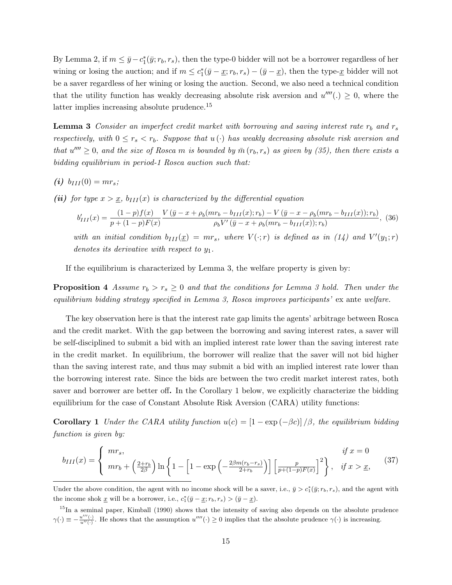By Lemma 2, if  $m \leq \bar{y} - c_1^*(\bar{y}; r_b, r_s)$ , then the type-0 bidder will not be a borrower regardless of her wining or losing the auction; and if  $m \leq c_1^*(\bar{y} - \underline{x}; r_b, r_s) - (\bar{y} - \underline{x})$ , then the type- $\underline{x}$  bidder will not be a saver regardless of her wining or losing the auction. Second, we also need a technical condition that the utility function has weakly decreasing absolute risk aversion and  $u''''(.) \geq 0$ , where the latter implies increasing absolute prudence.<sup>15</sup>

**Lemma 3** Consider an imperfect credit market with borrowing and saving interest rate  $r_b$  and  $r_s$ respectively, with  $0 \leq r_s < r_b$ . Suppose that  $u(\cdot)$  has weakly decreasing absolute risk aversion and that  $u'''' \geq 0$ , and the size of Rosca m is bounded by  $\bar{m}(r_b, r_s)$  as given by (35), then there exists a bidding equilibrium in period-1 Rosca auction such that:

(i)  $b_{III}(0) = mr_s;$ 

(ii) for type  $x > x$ ,  $b_{III}(x)$  is characterized by the differential equation

$$
b'_{III}(x) = \frac{(1-p)f(x)}{p+(1-p)F(x)} \frac{V(\bar{y}-x+\rho_b(mr_b-b_{III}(x);r_b)-V(\bar{y}-x-\rho_b(mr_b-b_{III}(x));r_b)}{\rho_b V'(\bar{y}-x+\rho_b(mr_b-b_{III}(x));r_b)},
$$
(36)

with an initial condition  $b_{III}(\underline{x}) = mr_s$ , where  $V(\cdot;r)$  is defined as in (14) and  $V'(y_1;r)$ denotes its derivative with respect to  $y_1$ .

If the equilibrium is characterized by Lemma 3, the welfare property is given by:

**Proposition 4** Assume  $r_b > r_s \geq 0$  and that the conditions for Lemma 3 hold. Then under the equilibrium bidding strategy specified in Lemma 3, Rosca improves participants' ex ante welfare.

The key observation here is that the interest rate gap limits the agents' arbitrage between Rosca and the credit market. With the gap between the borrowing and saving interest rates, a saver will be self-disciplined to submit a bid with an implied interest rate lower than the saving interest rate in the credit market. In equilibrium, the borrower will realize that the saver will not bid higher than the saving interest rate, and thus may submit a bid with an implied interest rate lower than the borrowing interest rate. Since the bids are between the two credit market interest rates, both saver and borrower are better off. In the Corollary 1 below, we explicitly characterize the bidding equilibrium for the case of Constant Absolute Risk Aversion (CARA) utility functions:

**Corollary 1** Under the CARA utility function  $u(c) = \left[1 - \exp(-\beta c)\right]/\beta$ , the equilibrium bidding function is given by:

$$
b_{III}(x) = \begin{cases} mr_s, & if x = 0\\ mr_b + \left(\frac{2+r_b}{2\beta}\right) \ln\left\{1 - \left[1 - \exp\left(-\frac{2\beta m(r_b - r_s)}{2+r_b}\right)\right] \left[\frac{p}{p + (1-p)F(x)}\right]^2\right\}, & if x > \underline{x}, \end{cases}
$$
(37)

Under the above condition, the agent with no income shock will be a saver, i.e.,  $\bar{y} > c_1^*(\bar{y}; r_b, r_s)$ , and the agent with the income shok  $\underline{x}$  will be a borrower, i.e.,  $c_1^*(\overline{y} - \underline{x}; r_b, r_s) > (\overline{y} - \underline{x})$ .

<sup>&</sup>lt;sup>15</sup>In a seminal paper, Kimball (1990) shows that the intensity of saving also depends on the absolute prudence  $\gamma(\cdot) \equiv -\frac{u'''(\cdot)}{u''(\cdot)}$ . He shows that the assumption  $u''''(\cdot) \ge 0$  implies that the absolute prudence  $\gamma(\cdot)$  is increasing.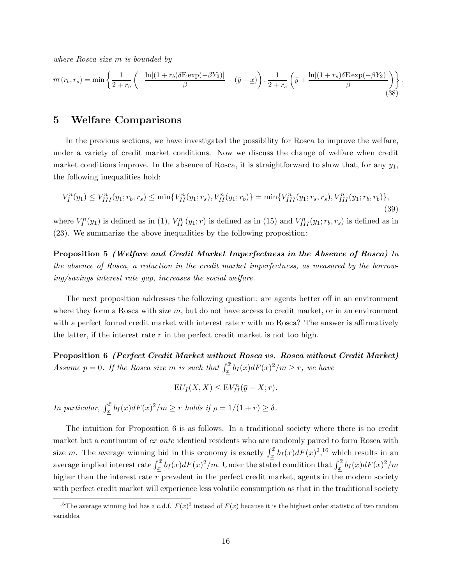where Rosca size m is bounded by

$$
\overline{m}(r_b, r_s) = \min\left\{\frac{1}{2+r_b} \left(-\frac{\ln[(1+r_b)\delta\mathrm{E}\exp(-\beta Y_2)]}{\beta} - (\bar{y}-\underline{x})\right), \frac{1}{2+r_s} \left(\bar{y} + \frac{\ln[(1+r_s)\delta\mathrm{E}\exp(-\beta Y_2)]}{\beta}\right)\right\}.
$$
\n(38)

## 5 Welfare Comparisons

In the previous sections, we have investigated the possibility for Rosca to improve the welfare, under a variety of credit market conditions. Now we discuss the change of welfare when credit market conditions improve. In the absence of Rosca, it is straightforward to show that, for any  $y_1$ , the following inequalities hold:

$$
V_I^n(y_1) \le V_{III}^n(y_1; r_b, r_s) \le \min\{V_{II}^n(y_1; r_s), V_{II}^n(y_1; r_b)\} = \min\{V_{III}^n(y_1; r_s, r_s), V_{III}^n(y_1; r_b, r_b)\},\tag{39}
$$

where  $V_I^n(y_1)$  is defined as in (1),  $V_{II}^n(y_1; r)$  is defined as in (15) and  $V_{III}^n(y_1; r_b, r_s)$  is defined as in (23). We summarize the above inequalities by the following proposition:

Proposition 5 (Welfare and Credit Market Imperfectness in the Absence of Rosca) In the absence of Rosca, a reduction in the credit market imperfectness, as measured by the borrowing/savings interest rate gap, increases the social welfare.

The next proposition addresses the following question: are agents better off in an environment where they form a Rosca with size  $m$ , but do not have access to credit market, or in an environment with a perfect formal credit market with interest rate  $r$  with no Rosca? The answer is affirmatively the latter, if the interest rate  $r$  in the perfect credit market is not too high.

Proposition 6 (Perfect Credit Market without Rosca vs. Rosca without Credit Market) Assume  $p = 0$ . If the Rosca size m is such that  $\int_x^{\bar{x}} b_I(x) dF(x)^2/m \ge r$ , we have

 $\mathrm{E} U_I(X,X) \leq \mathrm{E} V_{II}^n(\bar{y}-X;r).$ 

In particular,  $\int_{\underline{x}}^{\overline{x}} b_I(x) dF(x)^2/m \geq r$  holds if  $\rho = 1/(1+r) \geq \delta$ .

The intuition for Proposition 6 is as follows. In a traditional society where there is no credit market but a continuum of ex ante identical residents who are randomly paired to form Rosca with size m. The average winning bid in this economy is exactly  $\int_x^{\bar{x}} b_I(x) dF(x)^2$ ,<sup>16</sup> which results in an average implied interest rate  $\int_{\frac{x}{\lambda}}^{\bar{x}} b_I(x) dF(x)^2/m$ . Under the stated condition that  $\int_{\frac{x}{\lambda}}^{\bar{x}} b_I(x) dF(x)^2/m$ higher than the interest rate  $r$  prevalent in the perfect credit market, agents in the modern society with perfect credit market will experience less volatile consumption as that in the traditional society

<sup>&</sup>lt;sup>16</sup>The average winning bid has a c.d.f.  $F(x)^2$  instead of  $F(x)$  because it is the highest order statistic of two random variables.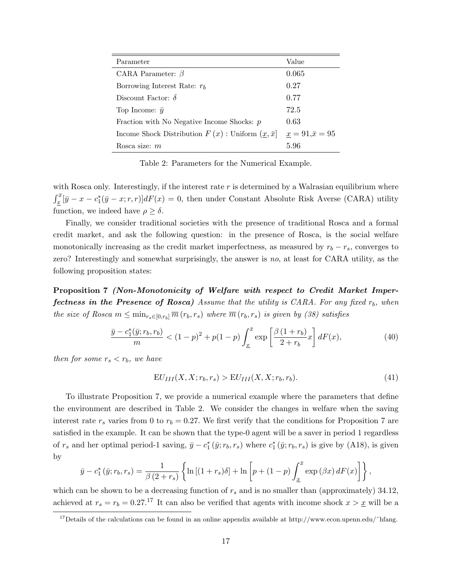| Parameter                                                                  | Value                  |
|----------------------------------------------------------------------------|------------------------|
| CARA Parameter: $\beta$                                                    | 0.065                  |
| Borrowing Interest Rate: $r_h$                                             | 0.27                   |
| Discount Factor: $\delta$                                                  | 0.77                   |
| Top Income: $\bar{y}$                                                      | 72.5                   |
| Fraction with No Negative Income Shocks: $p$                               | 0.63                   |
| Income Shock Distribution $F(x)$ : Uniform $(\underline{x}, \overline{x}]$ | $x = 91, \bar{x} = 95$ |
| Rosca size: $m$                                                            | 5.96                   |

Table 2: Parameters for the Numerical Example.

with Rosca only. Interestingly, if the interest rate  $r$  is determined by a Walrasian equilibrium where  $\int_{x}^{\bar{x}}[\bar{y}-x-c_1^*(\bar{y}-x;r,r)]dF(x) = 0$ , then under Constant Absolute Risk Averse (CARA) utility function, we indeed have  $\rho \geq \delta$ .

Finally, we consider traditional societies with the presence of traditional Rosca and a formal credit market, and ask the following question: in the presence of Rosca, is the social welfare monotonically increasing as the credit market imperfectness, as measured by  $r_b - r_s$ , converges to zero? Interestingly and somewhat surprisingly, the answer is no, at least for CARA utility, as the following proposition states:

Proposition 7 (Non-Monotonicity of Welfare with respect to Credit Market Imper**fectness in the Presence of Rosca)** Assume that the utility is CARA. For any fixed  $r<sub>b</sub>$ , when the size of Rosca  $m \leq \min_{r_s \in [0,r_b]} \overline{m}(r_b,r_s)$  where  $\overline{m}(r_b,r_s)$  is given by (38) satisfies

$$
\frac{\bar{y} - c_1^*(\bar{y}; r_b, r_b)}{m} < (1 - p)^2 + p(1 - p) \int_{\underline{x}}^{\bar{x}} \exp\left[\frac{\beta (1 + r_b)}{2 + r_b} x\right] dF(x),\tag{40}
$$

then for some  $r_s < r_b$ , we have

$$
EU_{III}(X, X; r_b, r_s) > EU_{III}(X, X; r_b, r_b). \tag{41}
$$

To illustrate Proposition 7, we provide a numerical example where the parameters that define the environment are described in Table 2. We consider the changes in welfare when the saving interest rate  $r_s$  varies from 0 to  $r_b = 0.27$ . We first verify that the conditions for Proposition 7 are satisfied in the example. It can be shown that the type-0 agent will be a saver in period 1 regardless of  $r_s$  and her optimal period-1 saving,  $\bar{y} - c_1^* (\bar{y}; r_b, r_s)$  where  $c_1^* (\bar{y}; r_b, r_s)$  is give by (A18), is given by

$$
\bar{y} - c_1^* (\bar{y}; r_b, r_s) = \frac{1}{\beta (2 + r_s)} \left\{ \ln \left[ (1 + r_s) \delta \right] + \ln \left[ p + (1 - p) \int_{\underline{x}}^{\bar{x}} \exp \left( \beta x \right) dF(x) \right] \right\},\,
$$

which can be shown to be a decreasing function of  $r_s$  and is no smaller than (approximately) 34.12, achieved at  $r_s = r_b = 0.27$ .<sup>17</sup> It can also be verified that agents with income shock  $x > x$  will be a

<sup>&</sup>lt;sup>17</sup>Details of the calculations can be found in an online appendix available at http://www.econ.upenn.edu/~hfang.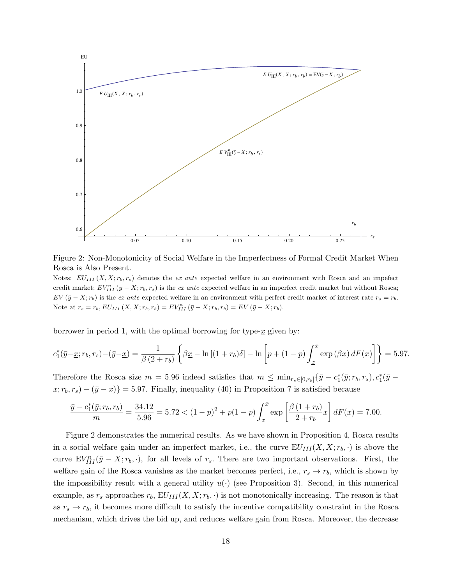

Figure 2: Non-Monotonicity of Social Welfare in the Imperfectness of Formal Credit Market When Rosca is Also Present.

Notes:  $EU_{III}(X, X; r_b, r_s)$  denotes the ex ante expected welfare in an environment with Rosca and an impefect credit market;  $EV_{III}^n(\bar{y}-X;r_b,r_s)$  is the ex ante expected welfare in an imperfect credit market but without Rosca;  $EV(\bar{y} - X; r_b)$  is the ex ante expected welfare in an environment with perfect credit market of interest rate  $r_s = r_b$ . Note at  $r_s = r_b, EU_{III}(X, X; r_b, r_b) = EV_{III}(\bar{y} - X; r_b, r_b) = EV(\bar{y} - X; r_b).$ 

borrower in period 1, with the optimal borrowing for type- $\underline{x}$  given by:

$$
c_1^*(\bar{y}-\underline{x};r_b,r_s)-(\bar{y}-\underline{x})=\frac{1}{\beta(2+r_b)}\left\{\beta\underline{x}-\ln\left[(1+r_b)\delta\right]-\ln\left[p+(1-p)\int_{\underline{x}}^{\bar{x}}\exp\left(\beta x\right)dF(x)\right]\right\}=5.97.
$$

Therefore the Rosca size  $m = 5.96$  indeed satisfies that  $m \leq \min_{r_s \in [0,r_b]} \{ \bar{y} - c_1^*(\bar{y};r_b,r_s), c_1^*(\bar{y} - \bar{y};r_b,r_s) \}$  $x; r_b, r_s) - (\bar{y} - \bar{x}) = 5.97$ . Finally, inequality (40) in Proposition 7 is satisfied because

$$
\frac{\bar{y} - c_1^*(\bar{y}; r_b, r_b)}{m} = \frac{34.12}{5.96} = 5.72 < (1 - p)^2 + p(1 - p) \int_{\underline{x}}^{\bar{x}} \exp\left[\frac{\beta(1 + r_b)}{2 + r_b} x\right] dF(x) = 7.00.
$$

Figure 2 demonstrates the numerical results. As we have shown in Proposition 4, Rosca results in a social welfare gain under an imperfect market, i.e., the curve  $EU_{III}(X, X; r_b, \cdot)$  is above the curve  $EV_{III}^n(\bar{y}-X;r_b,\cdot)$ , for all levels of  $r_s$ . There are two important observations. First, the welfare gain of the Rosca vanishes as the market becomes perfect, i.e.,  $r_s \rightarrow r_b$ , which is shown by the impossibility result with a general utility  $u(\cdot)$  (see Proposition 3). Second, in this numerical example, as  $r_s$  approaches  $r_b$ ,  $EU_{III}(X, X; r_b, \cdot)$  is not monotonically increasing. The reason is that as  $r_s \rightarrow r_b$ , it becomes more difficult to satisfy the incentive compatibility constraint in the Rosca mechanism, which drives the bid up, and reduces welfare gain from Rosca. Moreover, the decrease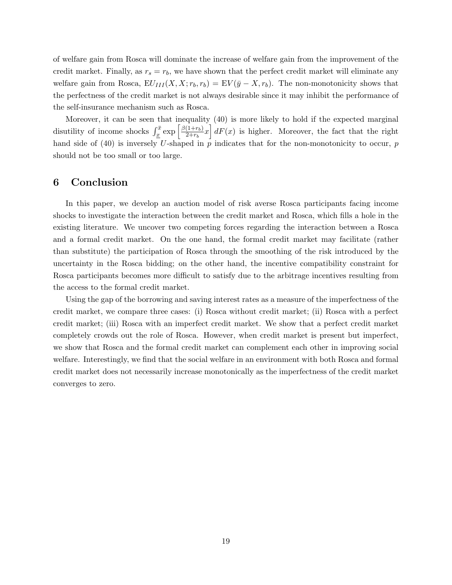of welfare gain from Rosca will dominate the increase of welfare gain from the improvement of the credit market. Finally, as  $r_s = r_b$ , we have shown that the perfect credit market will eliminate any welfare gain from Rosca,  $EU_{III}(X, X; r_b, r_b) = EV(\bar{y} - X, r_b)$ . The non-monotonicity shows that the perfectness of the credit market is not always desirable since it may inhibit the performance of the self-insurance mechanism such as Rosca.

Moreover, it can be seen that inequality (40) is more likely to hold if the expected marginal disutility of income shocks  $\int_{\underline{x}}^{\overline{x}} \exp\left[\frac{\beta(1+r_b)}{2+r_b}\right]$  $\left(\frac{(1+r_b)}{2+r_b}x\right)dF(x)$  is higher. Moreover, the fact that the right hand side of (40) is inversely U-shaped in  $p$  indicates that for the non-monotonicity to occur,  $p$ should not be too small or too large.

# 6 Conclusion

In this paper, we develop an auction model of risk averse Rosca participants facing income shocks to investigate the interaction between the credit market and Rosca, which fills a hole in the existing literature. We uncover two competing forces regarding the interaction between a Rosca and a formal credit market. On the one hand, the formal credit market may facilitate (rather than substitute) the participation of Rosca through the smoothing of the risk introduced by the uncertainty in the Rosca bidding; on the other hand, the incentive compatibility constraint for Rosca participants becomes more difficult to satisfy due to the arbitrage incentives resulting from the access to the formal credit market.

Using the gap of the borrowing and saving interest rates as a measure of the imperfectness of the credit market, we compare three cases: (i) Rosca without credit market; (ii) Rosca with a perfect credit market; (iii) Rosca with an imperfect credit market. We show that a perfect credit market completely crowds out the role of Rosca. However, when credit market is present but imperfect, we show that Rosca and the formal credit market can complement each other in improving social welfare. Interestingly, we find that the social welfare in an environment with both Rosca and formal credit market does not necessarily increase monotonically as the imperfectness of the credit market converges to zero.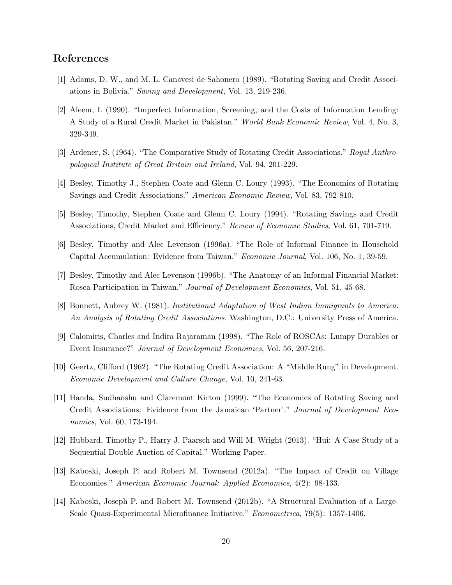# References

- [1] Adams, D. W., and M. L. Canavesi de Sahonero (1989). "Rotating Saving and Credit Associations in Bolivia." Saving and Development, Vol. 13, 219-236.
- [2] Aleem, I. (1990). "Imperfect Information, Screening, and the Costs of Information Lending: A Study of a Rural Credit Market in Pakistan." World Bank Economic Review, Vol. 4, No. 3, 329-349.
- [3] Ardener, S. (1964). "The Comparative Study of Rotating Credit Associations." Royal Anthropological Institute of Great Britain and Ireland, Vol. 94, 201-229.
- [4] Besley, Timothy J., Stephen Coate and Glenn C. Loury (1993). "The Economics of Rotating Savings and Credit Associations." American Economic Review, Vol. 83, 792-810.
- [5] Besley, Timothy, Stephen Coate and Glenn C. Loury (1994). "Rotating Savings and Credit Associations, Credit Market and Efficiency." Review of Economic Studies, Vol. 61, 701-719.
- [6] Besley, Timothy and Alec Levenson (1996a). "The Role of Informal Finance in Household Capital Accumulation: Evidence from Taiwan." Economic Journal, Vol. 106, No. 1, 39-59.
- [7] Besley, Timothy and Alec Levenson (1996b). "The Anatomy of an Informal Financial Market: Rosca Participation in Taiwan." Journal of Development Economics, Vol. 51, 45-68.
- [8] Bonnett, Aubrey W. (1981). Institutional Adaptation of West Indian Immigrants to America: An Analysis of Rotating Credit Associations. Washington, D.C.: University Press of America.
- [9] Calomiris, Charles and Indira Rajaraman (1998). "The Role of ROSCAs: Lumpy Durables or Event Insurance?" Journal of Development Economics, Vol. 56, 207-216.
- [10] Geertz, Clifford (1962). "The Rotating Credit Association: A "Middle Rung" in Development. Economic Development and Culture Change, Vol. 10, 241-63.
- [11] Handa, Sudhanshu and Claremont Kirton (1999). "The Economics of Rotating Saving and Credit Associations: Evidence from the Jamaican 'Partner'." Journal of Development Economics, Vol. 60, 173-194.
- [12] Hubbard, Timothy P., Harry J. Paarsch and Will M. Wright (2013). "Hui: A Case Study of a Sequential Double Auction of Capital." Working Paper.
- [13] Kaboski, Joseph P. and Robert M. Townsend (2012a). "The Impact of Credit on Village Economies." American Economic Journal: Applied Economics, 4(2): 98-133.
- [14] Kaboski, Joseph P. and Robert M. Townsend (2012b). "A Structural Evaluation of a Large-Scale Quasi-Experimental Microfinance Initiative." Econometrica, 79(5): 1357-1406.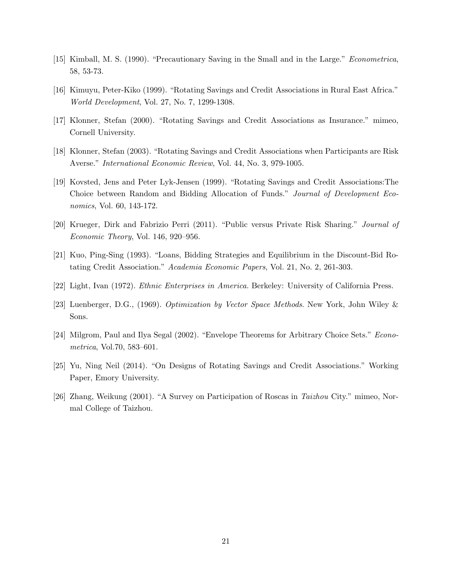- [15] Kimball, M. S. (1990). "Precautionary Saving in the Small and in the Large." Econometrica, 58, 53-73.
- [16] Kimuyu, Peter-Kiko (1999). "Rotating Savings and Credit Associations in Rural East Africa." World Development, Vol. 27, No. 7, 1299-1308.
- [17] Klonner, Stefan (2000). "Rotating Savings and Credit Associations as Insurance." mimeo, Cornell University.
- [18] Klonner, Stefan (2003). "Rotating Savings and Credit Associations when Participants are Risk Averse." International Economic Review, Vol. 44, No. 3, 979-1005.
- [19] Kovsted, Jens and Peter Lyk-Jensen (1999). "Rotating Savings and Credit Associations:The Choice between Random and Bidding Allocation of Funds." Journal of Development Economics, Vol. 60, 143-172.
- [20] Krueger, Dirk and Fabrizio Perri (2011). "Public versus Private Risk Sharing." Journal of Economic Theory, Vol. 146, 920–956.
- [21] Kuo, Ping-Sing (1993). "Loans, Bidding Strategies and Equilibrium in the Discount-Bid Rotating Credit Association." Academia Economic Papers, Vol. 21, No. 2, 261-303.
- [22] Light, Ivan (1972). Ethnic Enterprises in America. Berkeley: University of California Press.
- [23] Luenberger, D.G., (1969). Optimization by Vector Space Methods. New York, John Wiley & Sons.
- [24] Milgrom, Paul and Ilya Segal (2002). "Envelope Theorems for Arbitrary Choice Sets." Econometrica, Vol.70, 583–601.
- [25] Yu, Ning Neil (2014). "On Designs of Rotating Savings and Credit Associations." Working Paper, Emory University.
- [26] Zhang, Weikung (2001). "A Survey on Participation of Roscas in Taizhou City." mimeo, Normal College of Taizhou.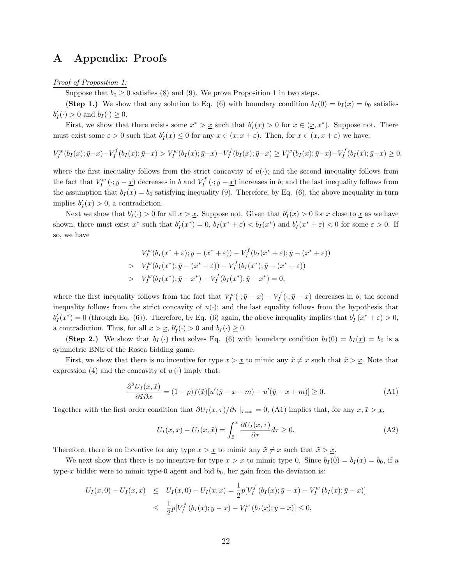# A Appendix: Proofs

Proof of Proposition 1:

Suppose that  $b_0 \geq 0$  satisfies (8) and (9). We prove Proposition 1 in two steps.

(Step 1.) We show that any solution to Eq. (6) with boundary condition  $b_I(0) = b_I(\underline{x}) = b_0$  satisfies  $b'_I(\cdot) > 0$  and  $b_I(\cdot) \geq 0$ .

First, we show that there exists some  $x^* > \underline{x}$  such that  $b'_I(x) > 0$  for  $x \in (\underline{x}, x^*)$ . Suppose not. There must exist some  $\varepsilon > 0$  such that  $b'_I(x) \leq 0$  for any  $x \in (\underline{x}, \underline{x} + \varepsilon)$ . Then, for  $x \in (\underline{x}, \underline{x} + \varepsilon)$  we have:

$$
V_I^w(b_I(x); \bar{y}-x) - V_I^f(b_I(x); \bar{y}-x) > V_I^w(b_I(x); \bar{y}-\underline{x}) - V_I^f(b_I(x); \bar{y}-\underline{x}) \ge V_I^w(b_I(\underline{x}); \bar{y}-\underline{x}) - V_I^f(b_I(\underline{x}); \bar{y}-\underline{x}) \ge 0,
$$

where the first inequality follows from the strict concavity of  $u(\cdot)$ ; and the second inequality follows from the fact that  $V_I^w(\cdot; \bar{y} - \underline{x})$  decreases in b and  $V_I^f(\cdot; \bar{y} - \underline{x})$  increases in b; and the last inequality follows from the assumption that  $b_I(\underline{x}) = b_0$  satisfying inequality (9). Therefore, by Eq. (6), the above inequality in turn implies  $b'_I(x) > 0$ , a contradiction.

Next we show that  $b'_I(\cdot) > 0$  for all  $x > x$ . Suppose not. Given that  $b'_I(x) > 0$  for x close to x as we have shown, there must exist  $x^*$  such that  $b'_I(x^*) = 0$ ,  $b_I(x^* + \varepsilon) < b_I(x^*)$  and  $b'_I(x^* + \varepsilon) < 0$  for some  $\varepsilon > 0$ . If so, we have

$$
V_I^w(b_I(x^* + \varepsilon); \bar{y} - (x^* + \varepsilon)) - V_I^f(b_I(x^* + \varepsilon); \bar{y} - (x^* + \varepsilon))
$$
  
> 
$$
V_I^w(b_I(x^*); \bar{y} - (x^* + \varepsilon)) - V_I^f(b_I(x^*); \bar{y} - (x^* + \varepsilon))
$$
  
> 
$$
V_I^w(b_I(x^*); \bar{y} - x^*) - V_I^f(b_I(x^*); \bar{y} - x^*) = 0,
$$

where the first inequality follows from the fact that  $V_I^w(\cdot; \bar{y} - x) - V_I^f(\cdot; \bar{y} - x)$  decreases in b; the second inequality follows from the strict concavity of  $u(\cdot)$ ; and the last equality follows from the hypothesis that  $b'_I(x^*) = 0$  (through Eq. (6)). Therefore, by Eq. (6) again, the above inequality implies that  $b'_I(x^* + \varepsilon) > 0$ , a contradiction. Thus, for all  $x > \underline{x}$ ,  $b'_I(\cdot) > 0$  and  $b_I(\cdot) \ge 0$ .

(Step 2.) We show that  $b_I(\cdot)$  that solves Eq. (6) with boundary condition  $b_I(0) = b_I(\underline{x}) = b_0$  is a symmetric BNE of the Rosca bidding game.

First, we show that there is no incentive for type  $x > x$  to mimic any  $\tilde{x} \neq x$  such that  $\tilde{x} > x$ . Note that expression (4) and the concavity of  $u(\cdot)$  imply that:

$$
\frac{\partial^2 U_I(x,\tilde{x})}{\partial \tilde{x} \partial x} = (1-p)f(\tilde{x})[u'(\bar{y}-x-m) - u'(\bar{y}-x+m)] \ge 0.
$$
 (A1)

Together with the first order condition that  $\partial U_I(x, \tau)/\partial \tau|_{\tau=x} = 0$ , (A1) implies that, for any  $x, \tilde{x} > \underline{x}$ ,

$$
U_I(x,x) - U_I(x,\tilde{x}) = \int_{\tilde{x}}^x \frac{\partial U_I(x,\tau)}{\partial \tau} d\tau \ge 0.
$$
 (A2)

Therefore, there is no incentive for any type  $x > x$  to mimic any  $\tilde{x} \neq x$  such that  $\tilde{x} > x$ .

We next show that there is no incentive for type  $x > x$  to mimic type 0. Since  $b_I(0) = b_I(x) = b_0$ , if a type-x bidder were to mimic type-0 agent and bid  $b_0$ , her gain from the deviation is:

$$
U_I(x,0) - U_I(x,x) \leq U_I(x,0) - U_I(x,\underline{x}) = \frac{1}{2} p[V_I^f (b_I(\underline{x});\bar{y}-x) - V_I^w (b_I(\underline{x});\bar{y}-x)]
$$
  

$$
\leq \frac{1}{2} p[V_I^f (b_I(x);\bar{y}-x) - V_I^w (b_I(x);\bar{y}-x)] \leq 0,
$$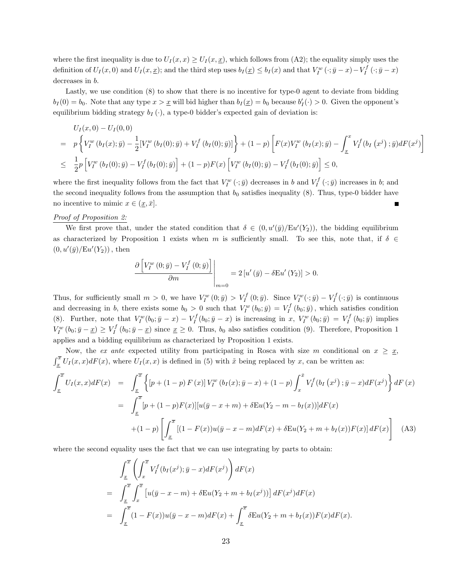where the first inequality is due to  $U_I(x, x) \ge U_I(x, x)$ , which follows from (A2); the equality simply uses the definition of  $U_I(x,0)$  and  $U_I(x,\underline{x})$ ; and the third step uses  $b_I(\underline{x}) \leq b_I(x)$  and that  $V_I^w(\cdot;\bar{y}-x) - V_I^f(\cdot;\bar{y}-x)$ decreases in b.

Lastly, we use condition (8) to show that there is no incentive for type-0 agent to deviate from bidding  $b_I(0) = b_0$ . Note that any type  $x > \underline{x}$  will bid higher than  $b_I(\underline{x}) = b_0$  because  $b'_I(\cdot) > 0$ . Given the opponent's equilibrium bidding strategy  $b_I(\cdot)$ , a type-0 bidder's expected gain of deviation is:

$$
U_{I}(x,0) - U_{I}(0,0)
$$
\n
$$
= p \left\{ V_{I}^{w} (b_{I}(x); \bar{y}) - \frac{1}{2} [V_{I}^{w} (b_{I}(0); \bar{y}) + V_{I}^{f} (b_{I}(0); \bar{y})] \right\} + (1-p) \left[ F(x) V_{I}^{w} (b_{I}(x); \bar{y}) - \int_{\underline{x}}^{x} V_{I}^{f} (b_{I} (x^{j}) ; \bar{y}) dF(x^{j}) \right]
$$
\n
$$
\leq \frac{1}{2} p \left[ V_{I}^{w} (b_{I}(0); \bar{y}) - V_{I}^{f} (b_{I}(0); \bar{y}) \right] + (1-p) F(x) \left[ V_{I}^{w} (b_{I}(0); \bar{y}) - V_{I}^{f} (b_{I}(0); \bar{y}) \right] \leq 0,
$$

where the first inequality follows from the fact that  $V_I^w(\cdot; \bar{y})$  decreases in b and  $V_I^f(\cdot; \bar{y})$  increases in b; and the second inequality follows from the assumption that  $b_0$  satisfies inequality (8). Thus, type-0 bidder have no incentive to mimic  $x \in (\underline{x}, \overline{x}]$ . Г

#### Proof of Proposition 2:

We first prove that, under the stated condition that  $\delta \in (0, u'(\bar{y})/Eu'(Y_2))$ , the bidding equilibrium as characterized by Proposition 1 exists when m is sufficiently small. To see this, note that, if  $\delta \in$  $(0, u'(\bar{y})/Eu'(Y_2))$ , then

$$
\frac{\partial \left[ V_I^w(0; \bar{y}) - V_I^f(0; \bar{y}) \right]}{\partial m} \Bigg|_{m=0} = 2 \left[ u'(\bar{y}) - \delta E u'(Y_2) \right] > 0.
$$

Thus, for sufficiently small  $m > 0$ , we have  $V_I^w(0; \bar{y}) > V_I^f(0; \bar{y})$ . Since  $V_I^w(\cdot; \bar{y}) - V_I^f(\cdot; \bar{y})$  is continuous and decreasing in b, there exists some  $b_0 > 0$  such that  $V_I^w(b_0; \bar{y}) = V_I^f(b_0; \bar{y})$ , which satisfies condition (8). Further, note that  $V_I^w(b_0; \bar{y} - x) - V_I^f(b_0; \bar{y} - x)$  is increasing in x,  $V_I^w(b_0; \bar{y}) = V_I^f(b_0; \bar{y})$  implies  $V_I^w(b_0; \bar{y} - \underline{x}) \ge V_I^f(b_0; \bar{y} - \underline{x})$  since  $\underline{x} \ge 0$ . Thus,  $b_0$  also satisfies condition (9). Therefore, Proposition 1 applies and a bidding equilibrium as characterized by Proposition 1 exists.

Now, the ex ante expected utility from participating in Rosca with size m conditional on  $x \geq x$ ,  $\int_{\underline{x}}^{\overline{x}} U_I(x,x)dF(x)$ , where  $U_I(x,x)$  is defined in (5) with  $\tilde{x}$  being replaced by x, can be written as:

$$
\int_{\underline{x}}^{\overline{x}} U_I(x, x) dF(x) = \int_{\underline{x}}^{\overline{x}} \left\{ [p + (1 - p) F(x)] V_I^w (b_I(x); \overline{y} - x) + (1 - p) \int_x^{\overline{x}} V_I^f (b_I(x^j); \overline{y} - x) dF(x^j) \right\} dF(x)
$$
  
\n
$$
= \int_{\underline{x}}^{\overline{x}} [p + (1 - p) F(x)][u(\overline{y} - x + m) + \delta E u(Y_2 - m - b_I(x))] dF(x)
$$
  
\n
$$
+ (1 - p) \left[ \int_{\underline{x}}^{\overline{x}} [(1 - F(x))u(\overline{y} - x - m) dF(x) + \delta E u(Y_2 + m + b_I(x)) F(x)] dF(x) \right]
$$
(A3)

where the second equality uses the fact that we can use integrating by parts to obtain:

$$
\int_{\underline{x}}^{\overline{x}} \left( \int_{x}^{\overline{x}} V_I^f(b_I(x^j); \overline{y} - x) dF(x^j) \right) dF(x)
$$
\n
$$
= \int_{\underline{x}}^{\overline{x}} \int_{x}^{\overline{x}} \left[ u(\overline{y} - x - m) + \delta \operatorname{Eu}(Y_2 + m + b_I(x^j)) \right] dF(x^j) dF(x)
$$
\n
$$
= \int_{\underline{x}}^{\overline{x}} (1 - F(x)) u(\overline{y} - x - m) dF(x) + \int_{\underline{x}}^{\overline{x}} \delta \operatorname{Eu}(Y_2 + m + b_I(x)) F(x) dF(x).
$$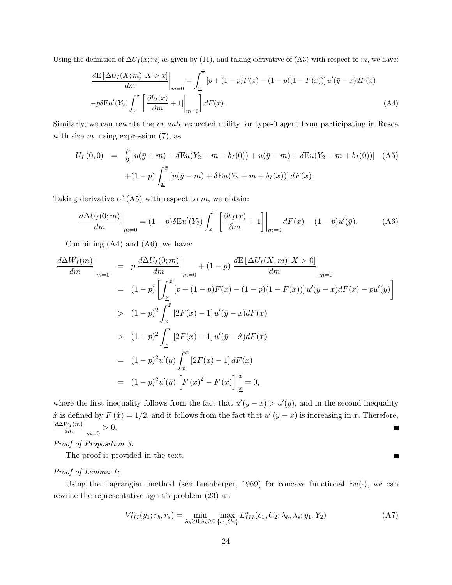Using the definition of  $\Delta U_I(x;m)$  as given by (11), and taking derivative of (A3) with respect to m, we have:

$$
\frac{dE\left[\Delta U_I(X;m)|X>x\right]}{dm}\bigg|_{m=0} = \int_{\underline{x}}^{\overline{x}} \left[p + (1-p)F(x) - (1-p)(1-F(x))\right]u'(\overline{y}-x)dF(x)
$$
\n
$$
-p\delta Eu'(Y_2)\int_{\underline{x}}^{\overline{x}} \left[\frac{\partial b_I(x)}{\partial m} + 1\right]_{m=0} dtF(x).
$$
\n(A4)

Similarly, we can rewrite the ex ante expected utility for type-0 agent from participating in Rosca with size  $m$ , using expression  $(7)$ , as

$$
U_I(0,0) = \frac{p}{2} [u(\bar{y} + m) + \delta Eu(Y_2 - m - b_I(0)) + u(\bar{y} - m) + \delta Eu(Y_2 + m + b_I(0))]
$$
 (A5)  
 
$$
+ (1-p) \int_{\underline{x}}^{\bar{x}} [u(\bar{y} - m) + \delta Eu(Y_2 + m + b_I(x))] dF(x).
$$

Taking derivative of  $(45)$  with respect to m, we obtain:

$$
\frac{d\Delta U_I(0;m)}{dm}\bigg|_{m=0} = (1-p)\delta \mathcal{E}u'(Y_2) \int_{\underline{x}}^{\overline{x}} \left[ \frac{\partial b_I(x)}{\partial m} + 1 \right] \bigg|_{m=0} dF(x) - (1-p)u'(\overline{y}). \tag{A6}
$$

Combining (A4) and (A6), we have:

$$
\frac{d\Delta W_I(m)}{dm}\Big|_{m=0} = p \frac{d\Delta U_I(0; m)}{dm}\Big|_{m=0} + (1-p) \frac{dE[\Delta U_I(X; m)|X > 0]}{dm}\Big|_{m=0}
$$
  
\n
$$
= (1-p) \left[ \int_{\frac{x}{\Delta}}^{\overline{x}} [p + (1-p)F(x) - (1-p)(1 - F(x))] u'(\overline{y} - x) dF(x) - p u'(\overline{y}) \right]
$$
  
\n
$$
> (1-p)^2 \int_{\frac{x}{\Delta}}^{\overline{x}} [2F(x) - 1] u'(\overline{y} - x) dF(x)
$$
  
\n
$$
> (1-p)^2 \int_{\frac{x}{\Delta}}^{\overline{x}} [2F(x) - 1] u'(\overline{y} - \hat{x}) dF(x)
$$
  
\n
$$
= (1-p)^2 u'(\overline{y}) \int_{\frac{x}{\Delta}}^{\overline{x}} [2F(x) - 1] dF(x)
$$
  
\n
$$
= (1-p)^2 u'(\overline{y}) \left[ F(x)^2 - F(x) \right]_{\frac{x}{\Delta}}^{\overline{x}} = 0,
$$

where the first inequality follows from the fact that  $u'(\bar{y} - x) > u'(\bar{y})$ , and in the second inequality  $\hat{x}$  is defined by  $F(\hat{x}) = 1/2$ , and it follows from the fact that  $u'(\bar{y} - x)$  is increasing in x. Therefore,  $\frac{W_I(m)}{dm}\Big|_{m=0} > 0.$  $d\Delta W_I(m)$ П

Proof of Proposition 3:

The proof is provided in the text.

# Proof of Lemma 1:

Using the Lagrangian method (see Luenberger, 1969) for concave functional  $Eu(\cdot)$ , we can rewrite the representative agent's problem (23) as:

$$
V_{III}^{n}(y_{1};r_{b},r_{s}) = \min_{\lambda_{b} \ge 0, \lambda_{s} \ge 0} \max_{\{c_{1}, C_{2}\}} L_{III}^{n}(c_{1}, C_{2}; \lambda_{b}, \lambda_{s}; y_{1}, Y_{2})
$$
(A7)

 $\blacksquare$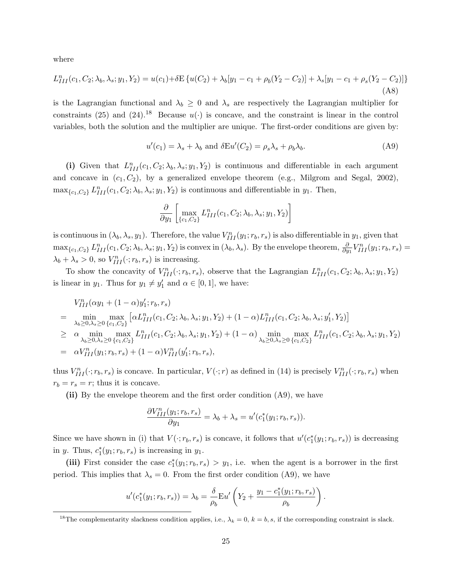where

$$
L_{III}^{n}(c_1, C_2; \lambda_b, \lambda_s; y_1, Y_2) = u(c_1) + \delta E \{ u(C_2) + \lambda_b[y_1 - c_1 + \rho_b(Y_2 - C_2)] + \lambda_s[y_1 - c_1 + \rho_s(Y_2 - C_2)] \}
$$
\n(A8)

is the Lagrangian functional and  $\lambda_b \geq 0$  and  $\lambda_s$  are respectively the Lagrangian multiplier for constraints (25) and (24).<sup>18</sup> Because  $u(\cdot)$  is concave, and the constraint is linear in the control variables, both the solution and the multiplier are unique. The first-order conditions are given by:

$$
u'(c_1) = \lambda_s + \lambda_b \text{ and } \delta \to u'(C_2) = \rho_s \lambda_s + \rho_b \lambda_b. \tag{A9}
$$

(i) Given that  $L_{III}^n(c_1, C_2; \lambda_b, \lambda_s; y_1, Y_2)$  is continuous and differentiable in each argument and concave in  $(c_1, C_2)$ , by a generalized envelope theorem (e.g., Milgrom and Segal, 2002),  $\max_{\{c_1, C_2\}} L_{III}^n(c_1, C_2; \lambda_b, \lambda_s; y_1, Y_2)$  is continuous and differentiable in  $y_1$ . Then,

$$
\frac{\partial}{\partial y_1} \left[ \max_{\{c_1, C_2\}} L_{III}^n(c_1, C_2; \lambda_b, \lambda_s; y_1, Y_2) \right]
$$

is continuous in  $(\lambda_b, \lambda_s, y_1)$ . Therefore, the value  $V_{III}^n(y_1; r_b, r_s)$  is also differentiable in  $y_1$ , given that  $\max_{\{c_1, C_2\}} L_{III}^n(c_1, C_2; \lambda_b, \lambda_s; y_1, Y_2)$  is convex in  $(\lambda_b, \lambda_s)$ . By the envelope theorem,  $\frac{\partial}{\partial y_1} V_{III}^n(y_1; r_b, r_s) =$  $\lambda_b + \lambda_s > 0$ , so  $V_{III}^n(\cdot; r_b, r_s)$  is increasing.

To show the concavity of  $V_{III}^n(\cdot; r_b, r_s)$ , observe that the Lagrangian  $L_{III}^n(c_1, C_2; \lambda_b, \lambda_s; y_1, Y_2)$ is linear in  $y_1$ . Thus for  $y_1 \neq y'_1$  and  $\alpha \in [0, 1]$ , we have:

$$
V_{III}^{n}(\alpha y_{1} + (1 - \alpha)y_{1}'; r_{b}, r_{s})
$$
\n
$$
= \min_{\lambda_{b} \geq 0, \lambda_{s} \geq 0} \max_{\{c_{1}, c_{2}\}} [\alpha L_{III}^{n}(c_{1}, C_{2}; \lambda_{b}, \lambda_{s}; y_{1}, Y_{2}) + (1 - \alpha)L_{III}^{n}(c_{1}, C_{2}; \lambda_{b}, \lambda_{s}; y_{1}', Y_{2})]
$$
\n
$$
\geq \alpha \min_{\lambda_{b} \geq 0, \lambda_{s} \geq 0} \max_{\{c_{1}, c_{2}\}} L_{III}^{n}(c_{1}, C_{2}; \lambda_{b}, \lambda_{s}; y_{1}, Y_{2}) + (1 - \alpha) \min_{\lambda_{b} \geq 0, \lambda_{s} \geq 0} \max_{\{c_{1}, c_{2}\}} L_{III}^{n}(c_{1}, C_{2}; \lambda_{b}, \lambda_{s}; y_{1}, Y_{2})
$$
\n
$$
= \alpha V_{III}^{n}(y_{1}; r_{b}, r_{s}) + (1 - \alpha)V_{III}^{n}(y_{1}; r_{b}, r_{s}),
$$

thus  $V_{III}^n(\cdot; r_b, r_s)$  is concave. In particular,  $V(\cdot; r)$  as defined in (14) is precisely  $V_{III}^n(\cdot; r_b, r_s)$  when  $r_b = r_s = r$ ; thus it is concave.

(ii) By the envelope theorem and the first order condition (A9), we have

$$
\frac{\partial V_{III}^n(y_1;r_b,r_s)}{\partial y_1} = \lambda_b + \lambda_s = u'(c_1^*(y_1;r_b,r_s)).
$$

Since we have shown in (i) that  $V(\cdot; r_b, r_s)$  is concave, it follows that  $u'(c_1^*(y_1; r_b, r_s))$  is decreasing in y. Thus,  $c_1^*(y_1; r_b, r_s)$  is increasing in  $y_1$ .

(iii) First consider the case  $c_1^*(y_1; r_b, r_s) > y_1$ , i.e. when the agent is a borrower in the first period. This implies that  $\lambda_s = 0$ . From the first order condition (A9), we have

$$
u'(c_1^*(y_1; r_b, r_s)) = \lambda_b = \frac{\delta}{\rho_b} \mathbf{E} u'\left(Y_2 + \frac{y_1 - c_1^*(y_1; r_b, r_s)}{\rho_b}\right).
$$

<sup>&</sup>lt;sup>18</sup>The complementarity slackness condition applies, i.e.,  $\lambda_k = 0$ ,  $k = b$ , s, if the corresponding constraint is slack.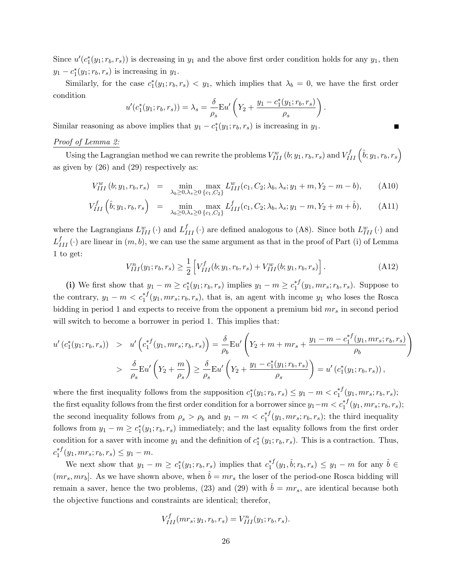Since  $u'(c_1^*(y_1; r_b, r_s))$  is decreasing in  $y_1$  and the above first order condition holds for any  $y_1$ , then  $y_1 - c_1^*(y_1; r_b, r_s)$  is increasing in  $y_1$ .

Similarly, for the case  $c_1^*(y_1; r_b, r_s) < y_1$ , which implies that  $\lambda_b = 0$ , we have the first order condition

$$
u'(c_1^*(y_1; r_b, r_s)) = \lambda_s = \frac{\delta}{\rho_s} \mathbf{E} u'\left(Y_2 + \frac{y_1 - c_1^*(y_1; r_b, r_s)}{\rho_s}\right)
$$

Similar reasoning as above implies that  $y_1 - c_1^*(y_1; r_b, r_s)$  is increasing in  $y_1$ .

#### Proof of Lemma 2:

Using the Lagrangian method we can rewrite the problems  $V_{III}^w(b; y_1, r_b, r_s)$  and  $V_{III}^f\left(\hat{b}; y_1, r_b, r_s\right)$ as given by (26) and (29) respectively as:

$$
V_{III}^{w}(b; y_1, r_b, r_s) = \min_{\lambda_b \ge 0, \lambda_s \ge 0} \max_{\{c_1, C_2\}} L_{III}^{w}(c_1, C_2; \lambda_b, \lambda_s; y_1 + m, Y_2 - m - b), \quad (A10)
$$

$$
V_{III}^{f}\left(\hat{b}; y_{1}, r_{b}, r_{s}\right) = \min_{\lambda_{b} \geq 0, \lambda_{s} \geq 0} \max_{\{c_{1}, C_{2}\}} L_{III}^{f}(c_{1}, C_{2}; \lambda_{b}, \lambda_{s}; y_{1} - m, Y_{2} + m + \hat{b}), \quad (A11)
$$

where the Lagrangians  $L_{III}^w(\cdot)$  and  $L_{III}^f(\cdot)$  are defined analogous to (A8). Since both  $L_{III}^w(\cdot)$  and  $L_{III}^f(\cdot)$  are linear in  $(m, b)$ , we can use the same argument as that in the proof of Part (i) of Lemma 1 to get:

$$
V_{III}^n(y_1; r_b, r_s) \ge \frac{1}{2} \left[ V_{III}^f(b; y_1, r_b, r_s) + V_{III}^w(b; y_1, r_b, r_s) \right]. \tag{A12}
$$

.

(i) We first show that  $y_1 - m \geq c_1^*(y_1; r_b, r_s)$  implies  $y_1 - m \geq c_1^{*f}$  $i_1^{*}$  $(y_1, mr_s; r_b, r_s)$ . Suppose to the contrary,  $y_1 - m < c_1^{*f}(y_1, mr_s; r_b, r_s)$ , that is, an agent with income  $y_1$  who loses the Rosca bidding in period 1 and expects to receive from the opponent a premium bid  $mr<sub>s</sub>$  in second period will switch to become a borrower in period 1. This implies that:

$$
u'(c_1^*(y_1; r_b, r_s)) > u'\left(c_1^{*f}(y_1, mr_s; r_b, r_s)\right) = \frac{\delta}{\rho_b} Eu'\left(Y_2 + m + mr_s + \frac{y_1 - m - c_1^{*f}(y_1, mr_s; r_b, r_s)}{\rho_b}\right)
$$
  

$$
> \frac{\delta}{\rho_s} Eu'\left(Y_2 + \frac{m}{\rho_s}\right) \ge \frac{\delta}{\rho_s} Eu'\left(Y_2 + \frac{y_1 - c_1^*(y_1; r_b, r_s)}{\rho_s}\right) = u'\left(c_1^*(y_1; r_b, r_s)\right),
$$

where the first inequality follows from the supposition  $c_1^*(y_1; r_b, r_s) \leq y_1 - m < c_1^{*f}(y_1, mr_s; r_b, r_s);$ the first equality follows from the first order condition for a borrower since  $y_1 - m < c_1^{*f}(y_1, mr_s; r_b, r_s);$ the second inequality follows from  $\rho_s > \rho_b$  and  $y_1 - m < c_1^{*f}(y_1, mr_s; r_b, r_s)$ ; the third inequality follows from  $y_1 - m \geq c_1^*(y_1; r_b, r_s)$  immediately; and the last equality follows from the first order condition for a saver with income  $y_1$  and the definition of  $c_1^*(y_1; r_b, r_s)$ . This is a contraction. Thus,  $c_1^{*f}$  $i_1^{*} (y_1, mr_s; r_b, r_s) \leq y_1 - m.$ 

We next show that  $y_1 - m \geq c_1^*(y_1; r_b, r_s)$  implies that  $c_1^{*f}$  $y_1^{*f}(y_1, \hat{b}; r_b, r_s) \le y_1 - m$  for any  $\hat{b} \in$  $(mr<sub>s</sub>, mr<sub>b</sub>)$ . As we have shown above, when  $\hat{b} = mr<sub>s</sub>$  the loser of the period-one Rosca bidding will remain a saver, hence the two problems, (23) and (29) with  $\hat{b} = mr_s$ , are identical because both the objective functions and constraints are identical; therefor,

$$
V_{III}^{f}(mr_{s}; y_{1}, r_{b}, r_{s}) = V_{III}^{n}(y_{1}; r_{b}, r_{s}).
$$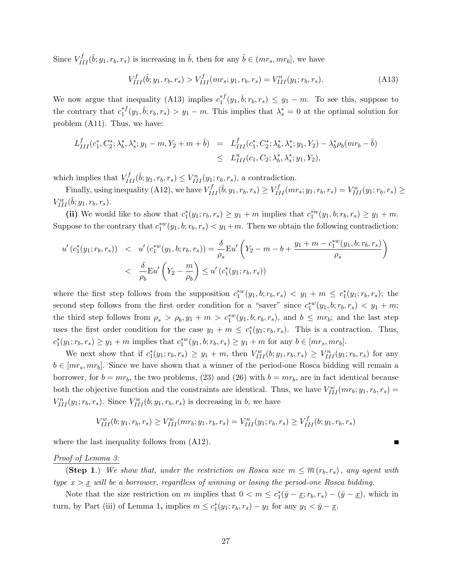Since  $V_{III}^f(\hat{b}; y_1, r_b, r_s)$  is increasing in  $\hat{b}$ , then for any  $\hat{b} \in (mr_s, mr_b]$ , we have

$$
V_{III}^{f}(\hat{b}; y_1, r_b, r_s) > V_{III}^{f}(mr_s; y_1, r_b, r_s) = V_{III}^{n}(y_1; r_b, r_s).
$$
\n(A13)

We now argue that inequality (A13) implies  $c_1^*$  $t_1^{*f}(y_1, \hat{b}; r_b, r_s) \leq y_1 - m$ . To see this, suppose to the contrary that  $c_1^{*f}$  $\lambda_1^{*f}(y_1, \hat{b}; r_b, r_s) > y_1 - m$ . This implies that  $\lambda_s^* = 0$  at the optimal solution for problem (A11). Thus, we have:

$$
L_{III}^f(c_1^*, C_2^*; \lambda_b^*, \lambda_s^*; y_1 - m, Y_2 + m + \hat{b}) = L_{III}^f(c_1^*, C_2^*; \lambda_b^*, \lambda_s^*; y_1, Y_2) - \lambda_b^* \rho_b(mr_b - \hat{b})
$$
  

$$
\leq L_{III}^n(c_1, C_2; \lambda_b^*, \lambda_s^*; y_1, Y_2),
$$

which implies that  $V_{III}^f(\hat{b}; y_1, r_b, r_s) \leq V_{III}^n(y_1; r_b, r_s)$ , a contradiction.

Finally, using inequality (A12), we have  $V_{III}^f(\hat{b}; y_1, r_b, r_s) \geq V_{III}^f(mr_s; y_1, r_b, r_s) = V_{III}^n(y_1; r_b, r_s) \geq$  $V_{III}^w(\hat{b}; y_1, r_b, r_s)$ .

(ii) We would like to show that  $c_1^*(y_1; r_b, r_s) \ge y_1 + m$  implies that  $c_1^{*w}(y_1, b; r_b, r_s) \ge y_1 + m$ . Suppose to the contrary that  $c_1^{*w}(y_1, b; r_b, r_s) < y_1 + m$ . Then we obtain the following contradiction:

$$
u'(c_1^*(y_1; r_b, r_s)) < u'(c_1^{*w}(y_1, b; r_b, r_s)) = \frac{\delta}{\rho_s} Eu'\left(Y_2 - m - b + \frac{y_1 + m - c_1^{*w}(y_1, b; r_b, r_s)}{\rho_s}\right)
$$
  

$$
< \frac{\delta}{\rho_b} Eu'\left(Y_2 - \frac{m}{\rho_b}\right) \le u'(c_1^*(y_1; r_b, r_s))
$$

where the first step follows from the supposition  $c_1^{*w}(y_1, b; r_b, r_s) < y_1 + m \le c_1^{*}(y_1; r_b, r_s)$ ; the second step follows from the first order condition for a "saver" since  $c_1^{*w}(y_1, b; r_b, r_s) < y_1 + m;$ the third step follows from  $\rho_s > \rho_b$ ,  $y_1 + m > c_1^{*w}(y_1, b; r_b, r_s)$ , and  $b \leq m r_b$ ; and the last step uses the first order condition for the case  $y_1 + m \leq c_1^*(y_1; r_b, r_s)$ . This is a contraction. Thus,  $c_1^*(y_1; r_b, r_s) \ge y_1 + m$  implies that  $c_1^{*w}(y_1, b; r_b, r_s) \ge y_1 + m$  for any  $b \in [mr_s, mr_b]$ .

We next show that if  $c_1^*(y_1; r_b, r_s) \ge y_1 + m$ , then  $V_{III}^w(b; y_1, r_b, r_s) \ge V_{III}^n(y_1; r_b, r_s)$  for any  $b \in [mr_s, mr_b]$ . Since we have shown that a winner of the period-one Rosca bidding will remain a borrower, for  $b = mr_b$ , the two problems, (23) and (26) with  $b = mr_b$ , are in fact identical because both the objective function and the constraints are identical. Thus, we have  $V_{III}^w(mr_b; y_1, r_b, r_s) =$  $V_{III}^n(y_1;r_b,r_s)$ . Since  $V_{III}^w(b;y_1,r_b,r_s)$  is decreasing in b, we have

$$
V_{III}^w(b; y_1, r_b, r_s) \geq V_{III}^w(m r_b; y_1, r_b, r_s) = V_{III}^n(y_1; r_b, r_s) \geq V_{III}^f(b; y_1, r_b, r_s)
$$

where the last inequality follows from  $(A12)$ .

#### Proof of Lemma 3:

(Step 1.) We show that, under the restriction on Rosca size  $m \leq \overline{m}(r_b, r_s)$ , any agent with type  $x > x$  will be a borrower, regardless of winning or losing the period-one Rosca bidding.

Note that the size restriction on m implies that  $0 < m \leq c_1^*(\bar{y} - \underline{x}; r_b, r_s) - (\bar{y} - \underline{x})$ , which in turn, by Part (iii) of Lemma 1, implies  $m \leq c_1^*(y_1; r_b, r_s) - y_1$  for any  $y_1 < \bar{y} - \underline{x}$ .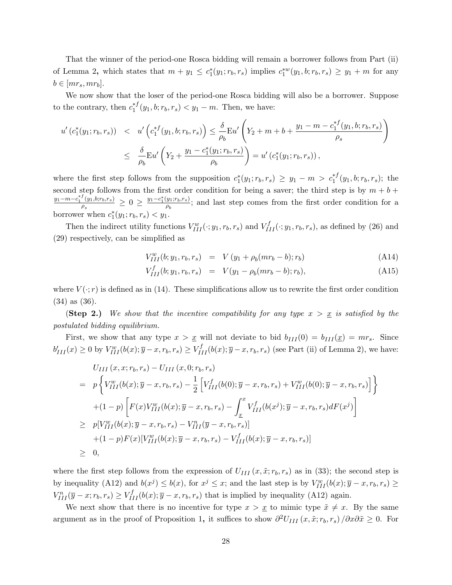That the winner of the period-one Rosca bidding will remain a borrower follows from Part (ii) of Lemma 2, which states that  $m + y_1 \leq c_1^*(y_1; r_b, r_s)$  implies  $c_1^{*w}(y_1, b; r_b, r_s) \geq y_1 + m$  for any  $b \in |mr_s, mr_b|.$ 

We now show that the loser of the period-one Rosca bidding will also be a borrower. Suppose to the contrary, then  $c_1^{*f}$  $j_1^{*}$  $(y_1, b; r_b, r_s) < y_1 - m$ . Then, we have:

$$
u'(c_1^*(y_1; r_b, r_s)) < u'\left(c_1^{*f}(y_1, b; r_b, r_s)\right) \le \frac{\delta}{\rho_b} Eu'\left(Y_2 + m + b + \frac{y_1 - m - c_1^{*f}(y_1, b; r_b, r_s)}{\rho_s}\right)
$$
  

$$
\le \frac{\delta}{\rho_b} Eu'\left(Y_2 + \frac{y_1 - c_1^*(y_1; r_b, r_s)}{\rho_b}\right) = u'\left(c_1^*(y_1; r_b, r_s)\right),
$$

where the first step follows from the supposition  $c_1^*(y_1; r_b, r_s) \ge y_1 - m > c_1^{*f}(y_1, b; r_b, r_s)$ ; the second step follows from the first order condition for being a saver; the third step is by  $m + b +$  $y_1-m-c_1^{*f}(y_1,b;r_b,r_s)$  $\frac{f(y_1, b; r_b, r_s)}{\rho_s} \geq 0 \geq \frac{y_1 - c_1^*(y_1; r_b, r_s)}{\rho_b}$  $\frac{g_1, g_2, g_3}{\rho_b}$ ; and last step comes from the first order condition for a borrower when  $c_1^*(y_1; r_b, r_s) < y_1$ .

Then the indirect utility functions  $V_{III}^w(\cdot; y_1, r_b, r_s)$  and  $V_{III}^f(\cdot; y_1, r_b, r_s)$ , as defined by (26) and (29) respectively, can be simplified as

$$
V_{III}^{w}(b; y_1, r_b, r_s) = V (y_1 + \rho_b(m r_b - b); r_b)
$$
\n(A14)

$$
V_{III}^f(b; y_1, r_b, r_s) = V(y_1 - \rho_b(m r_b - b); r_b), \tag{A15}
$$

where  $V(\cdot; r)$  is defined as in (14). These simplifications allow us to rewrite the first order condition (34) as (36).

(Step 2.) We show that the incentive compatibility for any type  $x > x$  is satisfied by the postulated bidding equilibrium.

First, we show that any type  $x > x$  will not deviate to bid  $b_{III}(0) = b_{III}(x) = mr_s$ . Since  $b'_{III}(x) \geq 0$  by  $V_{III}^w(b(x); \overline{y}-x, r_b, r_s) \geq V_{III}^f(b(x); \overline{y}-x, r_b, r_s)$  (see Part (ii) of Lemma 2), we have:

$$
U_{III}(x, x; r_b, r_s) - U_{III}(x, 0; r_b, r_s)
$$
  
=  $p \left\{ V_{III}^w(b(x); \overline{y} - x, r_b, r_s) - \frac{1}{2} \left[ V_{III}^f(b(0); \overline{y} - x, r_b, r_s) + V_{III}^w(b(0); \overline{y} - x, r_b, r_s) \right] \right\}$   
+  $(1-p) \left[ F(x) V_{III}^w(b(x); \overline{y} - x, r_b, r_s) - \int_{\underline{x}}^x V_{III}^f(b(x^j); \overline{y} - x, r_b, r_s) dF(x^j) \right]$   
 $\geq p[V_{III}^w(b(x); \overline{y} - x, r_b, r_s) - V_{III}^n(\overline{y} - x, r_b, r_s)]$   
+  $(1-p) F(x) [V_{III}^w(b(x); \overline{y} - x, r_b, r_s) - V_{III}^f(b(x); \overline{y} - x, r_b, r_s)]$   
 $\geq 0,$ 

where the first step follows from the expression of  $U_{III}(x, \tilde{x}; r_b, r_s)$  as in (33); the second step is by inequality (A12) and  $b(x^j) \leq b(x)$ , for  $x^j \leq x$ ; and the last step is by  $V_{III}^w(b(x); \overline{y} - x, r_b, r_s) \geq$  $V_{III}^n(\overline{y}-x;r_b,r_s) \geq V_{III}^f(b(x);\overline{y}-x,r_b,r_s)$  that is implied by inequality (A12) again.

We next show that there is no incentive for type  $x > x$  to mimic type  $\tilde{x} \neq x$ . By the same argument as in the proof of Proposition 1, it suffices to show  $\partial^2 U_{III}(x, \tilde{x}; r_b, r_s) / \partial x \partial \tilde{x} \geq 0$ . For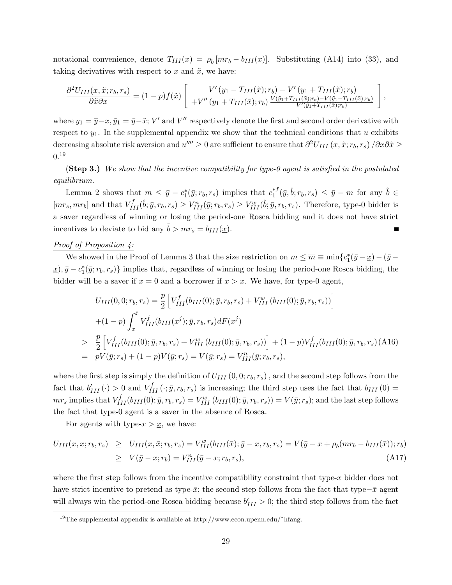notational convenience, denote  $T_{III}(x) = \rho_b[mr_b - b_{III}(x)]$ . Substituting (A14) into (33), and taking derivatives with respect to x and  $\tilde{x}$ , we have:

$$
\frac{\partial^2 U_{III}(x,\tilde{x};r_b,r_s)}{\partial \tilde{x}\partial x} = (1-p)f(\tilde{x})\left[\begin{array}{c} V'(y_1 - T_{III}(\tilde{x});r_b) - V'(y_1 + T_{III}(\tilde{x});r_b) \\ +V''(y_1 + T_{III}(\tilde{x});r_b) \frac{V(\tilde{y}_1 + T_{III}(\tilde{x});r_b) - V(\tilde{y}_1 - T_{III}(\tilde{x});r_b)}{V'(\tilde{y}_1 + T_{III}(\tilde{x});r_b)}\end{array}\right],
$$

where  $y_1 = \overline{y} - x$ ,  $\tilde{y}_1 = \overline{y} - \tilde{x}$ ; V' and V" respectively denote the first and second order derivative with respect to  $y_1$ . In the supplemental appendix we show that the technical conditions that u exhibits decreasing absolute risk aversion and  $u'''' \geq 0$  are sufficient to ensure that  $\partial^2 U_{III}(x, \tilde{x}; r_b, r_s) / \partial x \partial \tilde{x} \geq 0$  $0.19$ 

(Step 3.) We show that the incentive compatibility for type-0 agent is satisfied in the postulated equilibrium.

Lemma 2 shows that  $m \leq \bar{y} - c_1^*(\bar{y}; r_b, r_s)$  implies that  $c_1^{*f}$  $\hat{\mathbf{y}}_1^{*f}(\bar{y}, \hat{b}; r_b, r_s) \leq \bar{y} - m$  for any  $\hat{b} \in$  $[mr_s, mr_b]$  and that  $V_{III}^f(\hat{b}; \bar{y}, r_b, r_s) \geq V_{III}^n(\bar{y}; r_b, r_s) \geq V_{III}^w(\hat{b}; \bar{y}, r_b, r_s)$ . Therefore, type-0 bidder is a saver regardless of winning or losing the period-one Rosca bidding and it does not have strict incentives to deviate to bid any  $b > mr_s = b_{III}(\underline{x})$ . Г

#### Proof of Proposition 4:

We showed in the Proof of Lemma 3 that the size restriction on  $m \leq \overline{m} \equiv \min\{c_1^*(\overline{y} - \underline{x}) - (\overline{y} - \underline{y})\}$  $(\underline{x}), \overline{y} - c_1^*(\overline{y}; r_b, r_s)$  implies that, regardless of winning or losing the period-one Rosca bidding, the bidder will be a saver if  $x = 0$  and a borrower if  $x > x$ . We have, for type-0 agent,

$$
U_{III}(0,0;r_b,r_s) = \frac{p}{2} \left[ V_{III}^f(b_{III}(0); \bar{y},r_b,r_s) + V_{III}^w(b_{III}(0); \bar{y},r_b,r_s)) \right]
$$
  
+ 
$$
(1-p) \int_{\underline{x}}^{\bar{x}} V_{III}^f(b_{III}(x^j); \bar{y},r_b,r_s) dF(x^j)
$$
  

$$
> \frac{p}{2} \left[ V_{III}^f(b_{III}(0); \bar{y},r_b,r_s) + V_{III}^w(b_{III}(0); \bar{y},r_b,r_s) \right] + (1-p) V_{III}^f(b_{III}(0); \bar{y},r_b,r_s) (A16)
$$
  
= 
$$
pV(\bar{y};r_s) + (1-p)V(\bar{y};r_s) = V(\bar{y};r_s) = V_{III}^n(\bar{y};r_b,r_s),
$$

where the first step is simply the definition of  $U_{III}(0,0;r_b,r_s)$ , and the second step follows from the fact that  $b'_{III}(\cdot) > 0$  and  $V_{III}^f(\cdot; \bar{y}, r_b, r_s)$  is increasing; the third step uses the fact that  $b_{III}(0) =$  $mr_s$  implies that  $V_{III}^f(b_{III}(0); \bar{y}, r_b, r_s) = V_{III}^w(b_{III}(0); \bar{y}, r_b, r_s)) = V(\bar{y}; r_s)$ ; and the last step follows the fact that type-0 agent is a saver in the absence of Rosca.

For agents with type- $x > x$ , we have:

$$
U_{III}(x, x; r_b, r_s) \geq U_{III}(x, \bar{x}; r_b, r_s) = V_{III}^w(b_{III}(\bar{x}); \bar{y} - x, r_b, r_s) = V(\bar{y} - x + \rho_b(mr_b - b_{III}(\bar{x})); r_b)
$$
  
\n
$$
\geq V(\bar{y} - x; r_b) = V_{III}^n(\bar{y} - x; r_b, r_s),
$$
\n(A17)

where the first step follows from the incentive compatibility constraint that type- $x$  bidder does not have strict incentive to pretend as type- $\bar{x}$ ; the second step follows from the fact that type- $\bar{x}$  agent will always win the period-one Rosca bidding because  $b'_{III} > 0$ ; the third step follows from the fact

<sup>&</sup>lt;sup>19</sup>The supplemental appendix is available at http://www.econ.upenn.edu/~hfang.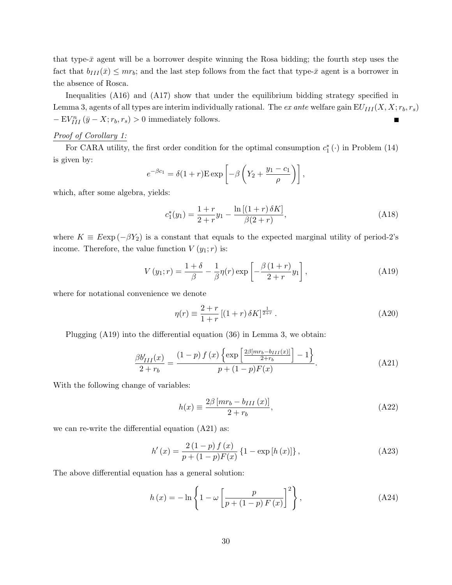that type- $\bar{x}$  agent will be a borrower despite winning the Rosa bidding; the fourth step uses the fact that  $b_{III}(\bar{x}) \leq mr_b$ ; and the last step follows from the fact that type- $\bar{x}$  agent is a borrower in the absence of Rosca.

Inequalities (A16) and (A17) show that under the equilibrium bidding strategy specified in Lemma 3, agents of all types are interim individually rational. The ex ante welfare gain  $EU_{III}(X, X; r_b, r_s)$  $-EV_{III}^n(\bar{y}-X;r_b,r_s) > 0$  immediately follows. П

# Proof of Corollary 1:

For CARA utility, the first order condition for the optimal consumption  $c_1^* (.)$  in Problem (14) is given by:

$$
e^{-\beta c_1} = \delta(1+r) \operatorname{E} \exp\left[-\beta \left(Y_2 + \frac{y_1 - c_1}{\rho}\right)\right],
$$

which, after some algebra, yields:

$$
c_1^*(y_1) = \frac{1+r}{2+r}y_1 - \frac{\ln[(1+r)\,\delta K]}{\beta(2+r)},\tag{A18}
$$

where  $K \equiv E \exp(-\beta Y_2)$  is a constant that equals to the expected marginal utility of period-2's income. Therefore, the value function  $V(y_1; r)$  is:

$$
V(y_1; r) = \frac{1+\delta}{\beta} - \frac{1}{\beta} \eta(r) \exp\left[-\frac{\beta(1+r)}{2+r}y_1\right],
$$
 (A19)

where for notational convenience we denote

$$
\eta(r) \equiv \frac{2+r}{1+r} \left[ (1+r) \,\delta K \right]^{\frac{1}{2+r}}.\tag{A20}
$$

Plugging (A19) into the differential equation (36) in Lemma 3, we obtain:

$$
\frac{\beta b'_{III}(x)}{2+r_b} = \frac{(1-p) f(x) \left\{ \exp \left[ \frac{2\beta [mr_b - b_{III}(x)]}{2+r_b} \right] - 1 \right\}}{p + (1-p)F(x)}.
$$
\n(A21)

With the following change of variables:

$$
h(x) \equiv \frac{2\beta \left[ mr_b - b_{III} \left( x \right) \right]}{2 + r_b},\tag{A22}
$$

we can re-write the differential equation (A21) as:

$$
h'(x) = \frac{2(1-p) f(x)}{p + (1-p)F(x)} \left\{1 - \exp\left[h(x)\right]\right\},\tag{A23}
$$

The above differential equation has a general solution:

$$
h(x) = -\ln\left\{1 - \omega\left[\frac{p}{p + (1 - p)F(x)}\right]^2\right\},\tag{A24}
$$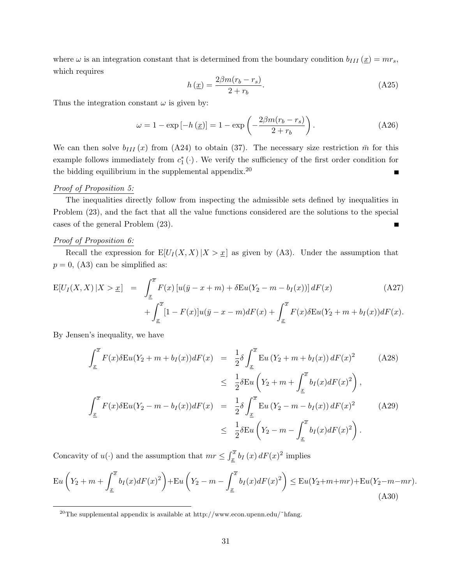where  $\omega$  is an integration constant that is determined from the boundary condition  $b_{III}(\underline{x}) = mr_s$ , which requires

$$
h\left(\underline{x}\right) = \frac{2\beta m(r_b - r_s)}{2 + r_b}.\tag{A25}
$$

Thus the integration constant  $\omega$  is given by:

$$
\omega = 1 - \exp\left[-h\left(\underline{x}\right)\right] = 1 - \exp\left(-\frac{2\beta m(r_b - r_s)}{2 + r_b}\right). \tag{A26}
$$

We can then solve  $b_{III}(x)$  from (A24) to obtain (37). The necessary size restriction  $\bar{m}$  for this example follows immediately from  $c_1^*$  ( $\cdot$ ). We verify the sufficiency of the first order condition for the bidding equilibrium in the supplemental appendix.<sup>20</sup>  $\blacksquare$ 

#### Proof of Proposition 5:

The inequalities directly follow from inspecting the admissible sets defined by inequalities in Problem (23), and the fact that all the value functions considered are the solutions to the special cases of the general Problem (23). Г

#### Proof of Proposition 6:

Recall the expression for  $E[U_I(X, X) | X > \underline{x}]$  as given by (A3). Under the assumption that  $p = 0$ , (A3) can be simplified as:

$$
E[U_I(X, X) | X > x] = \int_{\underline{x}}^{\overline{x}} F(x) [u(\overline{y} - x + m) + \delta E u(Y_2 - m - b_I(x))] dF(x)
$$
\n
$$
+ \int_{\underline{x}}^{\overline{x}} [1 - F(x)] u(\overline{y} - x - m) dF(x) + \int_{\underline{x}}^{\overline{x}} F(x) \delta E u(Y_2 + m + b_I(x)) dF(x).
$$
\n(A27)

By Jensen's inequality, we have

$$
\int_{\underline{x}}^{\overline{x}} F(x) \delta \mathrm{E} u(Y_2 + m + b_I(x)) dF(x) = \frac{1}{2} \delta \int_{\underline{x}}^{\overline{x}} \mathrm{E} u (Y_2 + m + b_I(x)) dF(x)^2 \qquad (A28)
$$
  
\n
$$
\leq \frac{1}{2} \delta \mathrm{E} u \left( Y_2 + m + \int_{\underline{x}}^{\overline{x}} b_I(x) dF(x)^2 \right),
$$
  
\n
$$
\int_{\underline{x}}^{\overline{x}} F(x) \delta \mathrm{E} u(Y_2 - m - b_I(x)) dF(x) = \frac{1}{2} \delta \int_{\underline{x}}^{\overline{x}} \mathrm{E} u (Y_2 - m - b_I(x)) dF(x)^2 \qquad (A29)
$$
  
\n
$$
\leq \frac{1}{2} \delta \mathrm{E} u \left( Y_2 - m - \int_{\underline{x}}^{\overline{x}} b_I(x) dF(x)^2 \right).
$$

Concavity of  $u(\cdot)$  and the assumption that  $mr \leq \int_{x}^{\overline{x}} b_I(x) dF(x)^2$  implies

$$
\mathcal{E}u\left(Y_2 + m + \int_{\underline{x}}^{\overline{x}} b_I(x) dF(x)^2\right) + \mathcal{E}u\left(Y_2 - m - \int_{\underline{x}}^{\overline{x}} b_I(x) dF(x)^2\right) \le \mathcal{E}u(Y_2 + m + mr) + \mathcal{E}u(Y_2 - m - mr). \tag{A30}
$$

<sup>&</sup>lt;sup>20</sup>The supplemental appendix is available at http://www.econ.upenn.edu/~hfang.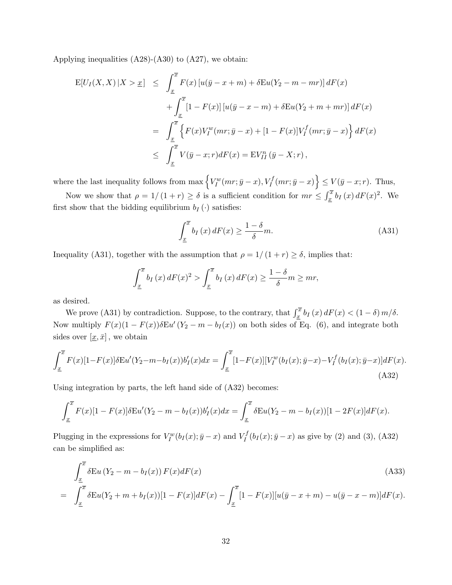Applying inequalities  $(A28)-(A30)$  to  $(A27)$ , we obtain:

$$
E[U_I(X, X) | X > x] \leq \int_{\underline{x}}^{\overline{x}} F(x) [u(\overline{y} - x + m) + \delta E u(Y_2 - m - mr)] dF(x)
$$
  
+ 
$$
\int_{\underline{x}}^{\overline{x}} [1 - F(x)] [u(\overline{y} - x - m) + \delta E u(Y_2 + m + mr)] dF(x)
$$
  
= 
$$
\int_{\underline{x}}^{\overline{x}} \left\{ F(x) V_I^w(mr; \overline{y} - x) + [1 - F(x)] V_I^f(mr; \overline{y} - x) \right\} dF(x)
$$
  

$$
\leq \int_{\underline{x}}^{\overline{x}} V(\overline{y} - x; r) dF(x) = EV_{II}^n(\overline{y} - X; r),
$$

where the last inequality follows from  $\max \{V_I^w(mr; \bar{y} - x), V_I^f(mr; \bar{y} - x)\} \le V(\bar{y} - x; r)$ . Thus,

Now we show that  $\rho = 1/(1+r) \ge \delta$  is a sufficient condition for  $mr \le \int_{\underline{x}}^{\overline{x}} b_I(x) dF(x)^2$ . We first show that the bidding equilibrium  $b_I(\cdot)$  satisfies:

$$
\int_{\underline{x}}^{\overline{x}} b_I(x) dF(x) \ge \frac{1-\delta}{\delta} m.
$$
\n(A31)

Inequality (A31), together with the assumption that  $\rho = 1/(1+r) \ge \delta$ , implies that:

$$
\int_{\underline{x}}^{\overline{x}} b_I(x) dF(x)^2 > \int_{\underline{x}}^{\overline{x}} b_I(x) dF(x) \ge \frac{1-\delta}{\delta} m \ge mr,
$$

as desired.

We prove (A31) by contradiction. Suppose, to the contrary, that  $\int_x^{\overline{x}} b_I(x) dF(x) < (1 - \delta) m/\delta$ . Now multiply  $F(x)(1 - F(x))\delta E u' (Y_2 - m - b_I(x))$  on both sides of Eq. (6), and integrate both sides over  $[\underline{x}, \overline{x}]$ , we obtain

$$
\int_{\underline{x}}^{\overline{x}} F(x)[1 - F(x)] \delta \mathcal{E}u'(Y_2 - m - b_I(x))b'_I(x)dx = \int_{\underline{x}}^{\overline{x}} [1 - F(x)][V_I^w(b_I(x); \overline{y} - x) - V_I^f(b_I(x); \overline{y} - x)]dF(x).
$$
\n(A32)

Using integration by parts, the left hand side of (A32) becomes:

$$
\int_{\underline{x}}^{\overline{x}} F(x)[1 - F(x)] \delta \mathcal{E}u'(Y_2 - m - b_I(x))b'_I(x)dx = \int_{\underline{x}}^{\overline{x}} \delta \mathcal{E}u(Y_2 - m - b_I(x))[1 - 2F(x)]dF(x).
$$

Plugging in the expressions for  $V_I^w(b_I(x); \bar{y} - x)$  and  $V_I^f$  $I_I^{IJ}(b_I(x); \bar{y} - x)$  as give by (2) and (3), (A32) can be simplified as:

$$
\int_{\frac{x}{x}}^{\overline{x}} \delta \mathcal{E} u (Y_2 - m - b_I(x)) F(x) dF(x)
$$
\n
$$
= \int_{\frac{x}{x}}^{\overline{x}} \delta \mathcal{E} u (Y_2 + m + b_I(x)) [1 - F(x)] dF(x) - \int_{\frac{x}{x}}^{\overline{x}} [1 - F(x)][u(\overline{y} - x + m) - u(\overline{y} - x - m)] dF(x).
$$
\n(A33)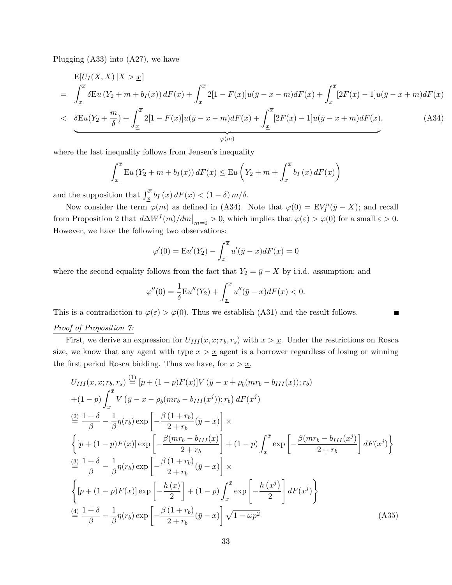Plugging (A33) into (A27), we have

$$
E[U_I(X, X) | X > x]
$$
  
=  $\int_{\underline{x}}^{\overline{x}} \delta E u(Y_2 + m + b_I(x)) dF(x) + \int_{\underline{x}}^{\overline{x}} 2[1 - F(x)]u(\overline{y} - x - m) dF(x) + \int_{\underline{x}}^{\overline{x}} [2F(x) - 1]u(\overline{y} - x + m) dF(x)$   
<  $\delta E u(Y_2 + \frac{m}{s}) + \int_{\overline{x}}^{\overline{x}} 2[1 - F(x)]u(\overline{y} - x - m) dF(x) + \int_{\overline{x}}^{\overline{x}} [2F(x) - 1]u(\overline{y} - x + m) dF(x),$  (A34)

$$
\frac{\sqrt{2\pi}\left(12+\frac{1}{2}\right)^{1} \int_{\underline{x}} \frac{2\left(1-\frac{1}{2}\left(\frac{1}{2}\right)\right)\alpha\left(\frac{1}{2}-\frac{1}{2}\right)\alpha\left(\frac{1}{2}-\frac{1}{2}\right)\alpha\left(\frac{1}{2}-\frac{1}{2}\right)\alpha\left(\frac{1}{2}-\frac{1}{2}\right)\alpha\left(\frac{1}{2}-\frac{1}{2}\right)\alpha\left(\frac{1}{2}-\frac{1}{2}\right)\alpha\left(\frac{1}{2}-\frac{1}{2}\right)\alpha\left(\frac{1}{2}-\frac{1}{2}\right)\alpha\left(\frac{1}{2}-\frac{1}{2}\right)\alpha\left(\frac{1}{2}-\frac{1}{2}\right)\alpha\left(\frac{1}{2}-\frac{1}{2}\right)\alpha\left(\frac{1}{2}-\frac{1}{2}\right)\alpha\left(\frac{1}{2}-\frac{1}{2}\right)\alpha\left(\frac{1}{2}-\frac{1}{2}\right)\alpha\left(\frac{1}{2}-\frac{1}{2}\right)\alpha\left(\frac{1}{2}-\frac{1}{2}\right)\alpha\left(\frac{1}{2}-\frac{1}{2}\right)\alpha\left(\frac{1}{2}-\frac{1}{2}\right)\alpha\left(\frac{1}{2}-\frac{1}{2}\right)\alpha\left(\frac{1}{2}-\frac{1}{2}\right)\alpha\left(\frac{1}{2}-\frac{1}{2}\right)\alpha\left(\frac{1}{2}-\frac{1}{2}\right)\alpha\left(\frac{1}{2}-\frac{1}{2}\right)\alpha\left(\frac{1}{2}-\frac{1}{2}\right)\alpha\left(\frac{1}{2}-\frac{1}{2}\right)\alpha\left(\frac{1}{2}-\frac{1}{2}\right)\alpha\left(\frac{1}{2}-\frac{1}{2}\right)\alpha\left(\frac{1}{2}-\frac{1}{2}\right)\alpha\left(\frac{1}{2}-\frac{1}{2}\right)\alpha\left(\frac{1}{2}-\frac{1}{2}\right)\alpha\left(\frac{1}{2}-\frac{1}{2}\right)\alpha\left(\frac{1}{2}-\frac{1}{2}\right)\alpha\left(\frac{1}{2}-\frac{1}{2}\right)\alpha\left(\frac{1}{2}-\frac{1}{2}\right)\alpha\left(\frac{1}{2}-\frac{1}{2}\right)\alpha\left(\frac{1}{2}-\frac{1}{2}\right)\alpha\left(\frac{1}{2}-\frac{1}{2}\
$$

where the last inequality follows from Jensen's inequality

$$
\int_{\underline{x}}^{\overline{x}} \mathrm{E}u(Y_2 + m + b_I(x)) dF(x) \le \mathrm{E}u\left(Y_2 + m + \int_{\underline{x}}^{\overline{x}} b_I(x) dF(x)\right)
$$

and the supposition that  $\int_{\underline{x}}^{\overline{x}} b_I(x) dF(x) < (1 - \delta) m/\delta$ .

Now consider the term  $\varphi(m)$  as defined in (A34). Note that  $\varphi(0) = \mathbb{E} V_I^n(\bar{y} - X)$ ; and recall from Proposition 2 that  $d\Delta W^{I}(m)/dm|_{m=0} > 0$ , which implies that  $\varphi(\varepsilon) > \varphi(0)$  for a small  $\varepsilon > 0$ . However, we have the following two observations:

$$
\varphi'(0) = \mathcal{E}u'(Y_2) - \int_{\underline{x}}^{\overline{x}} u'(\overline{y} - x) dF(x) = 0
$$

where the second equality follows from the fact that  $Y_2 = \bar{y} - X$  by i.i.d. assumption; and

$$
\varphi''(0) = \frac{1}{\delta} \mathcal{E}u''(Y_2) + \int_{\underline{x}}^{\overline{x}} u''(\overline{y} - x) dF(x) < 0.
$$

This is a contradiction to  $\varphi(\varepsilon) > \varphi(0)$ . Thus we establish (A31) and the result follows. Г

# Proof of Proposition  $\gamma$ :

First, we derive an expression for  $U_{III}(x, x; r_b, r_s)$  with  $x > x$ . Under the restrictions on Rosca size, we know that any agent with type  $x > x$  agent is a borrower regardless of losing or winning the first period Rosca bidding. Thus we have, for  $x > \underline{x}$ ,

$$
U_{III}(x, x; r_b, r_s) \stackrel{(1)}{=} [p + (1 - p)F(x)]V(\bar{y} - x + \rho_b(mr_b - b_{III}(x)); r_b)
$$
  
+ (1 - p)  $\int_x^{\bar{x}} V(\bar{y} - x - \rho_b(mr_b - b_{III}(x^j)); r_b) dF(x^j)$   

$$
\stackrel{(2)}{=} \frac{1 + \delta}{\beta} - \frac{1}{\beta} \eta(r_b) \exp\left[-\frac{\beta(1 + r_b)}{2 + r_b}(\bar{y} - x)\right] \times
$$
  

$$
\left\{ [p + (1 - p)F(x)] \exp\left[-\frac{\beta(mr_b - b_{III}(x)}{2 + r_b}\right] + (1 - p) \int_x^{\bar{x}} \exp\left[-\frac{\beta(mr_b - b_{III}(x^j)}{2 + r_b}\right] dF(x^j) \right\}
$$
  

$$
\stackrel{(3)}{=} \frac{1 + \delta}{\beta} - \frac{1}{\beta} \eta(r_b) \exp\left[-\frac{\beta(1 + r_b)}{2 + r_b}(\bar{y} - x)\right] \times
$$
  

$$
\left\{ [p + (1 - p)F(x)] \exp\left[-\frac{h(x)}{2}\right] + (1 - p) \int_x^{\bar{x}} \exp\left[-\frac{h(x^j)}{2}\right] dF(x^j) \right\}
$$
  

$$
\stackrel{(4)}{=} \frac{1 + \delta}{\beta} - \frac{1}{\beta} \eta(r_b) \exp\left[-\frac{\beta(1 + r_b)}{2 + r_b}(\bar{y} - x)\right] \sqrt{1 - \omega p^2}
$$
 (A35)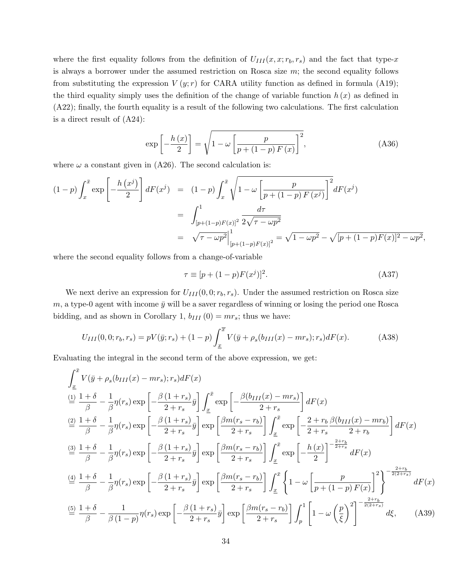where the first equality follows from the definition of  $U_{III}(x, x; r_b, r_s)$  and the fact that type-x is always a borrower under the assumed restriction on Rosca size  $m$ ; the second equality follows from substituting the expression  $V(y; r)$  for CARA utility function as defined in formula (A19); the third equality simply uses the definition of the change of variable function  $h(x)$  as defined in (A22); finally, the fourth equality is a result of the following two calculations. The first calculation is a direct result of (A24):

$$
\exp\left[-\frac{h\left(x\right)}{2}\right] = \sqrt{1 - \omega\left[\frac{p}{p + \left(1 - p\right)F\left(x\right)}\right]^2},\tag{A36}
$$

where  $\omega$  a constant given in (A26). The second calculation is:

$$
(1-p)\int_x^{\bar{x}} \exp\left[-\frac{h(x^j)}{2}\right] dF(x^j) = (1-p)\int_x^{\bar{x}} \sqrt{1-\omega\left[\frac{p}{p+(1-p)F(x^j)}\right]^2} dF(x^j)
$$
  

$$
= \int_{[p+(1-p)F(x)]^2}^{1} \frac{d\tau}{2\sqrt{\tau-\omega p^2}}
$$
  

$$
= \sqrt{\tau-\omega p^2}\Big|_{[p+(1-p)F(x)]^2}^{1} = \sqrt{1-\omega p^2} - \sqrt{[p+(1-p)F(x)]^2-\omega p^2},
$$

where the second equality follows from a change-of-variable

$$
\tau \equiv [p + (1 - p)F(xj)]2.
$$
 (A37)

We next derive an expression for  $U_{III}(0,0;r_b,r_s)$ . Under the assumed restriction on Rosca size  $m$ , a type-0 agent with income  $\bar{y}$  will be a saver regardless of winning or losing the period one Rosca bidding, and as shown in Corollary 1,  $b_{III}(0) = mr_s$ ; thus we have:

$$
U_{III}(0,0;r_b,r_s) = pV(\bar{y};r_s) + (1-p)\int_{\underline{x}}^{\overline{x}} V(\bar{y} + \rho_s(b_{III}(x) - mr_s);r_s)dF(x).
$$
 (A38)

Evaluating the integral in the second term of the above expression, we get:

$$
\int_{\underline{x}}^{\overline{x}} V(\overline{y} + \rho_s(b_{III}(x) - mr_s); r_s) dF(x)
$$
\n
$$
\frac{d}{dt} \frac{1+\delta}{\beta} - \frac{1}{\beta} \eta(r_s) \exp\left[-\frac{\beta(1+r_s)}{2+r_s} \overline{y}\right] \int_{\underline{x}}^{\overline{x}} \exp\left[-\frac{\beta(b_{III}(x) - mr_s)}{2+r_s}\right] dF(x)
$$
\n
$$
\frac{d}{dt} \frac{1+\delta}{\beta} - \frac{1}{\beta} \eta(r_s) \exp\left[-\frac{\beta(1+r_s)}{2+r_s} \overline{y}\right] \exp\left[\frac{\beta m(r_s - r_b)}{2+r_s}\right] \int_{\underline{x}}^{\overline{x}} \exp\left[-\frac{2+r_b}{2+r_s} \frac{\beta(b_{III}(x) - mr_b)}{2+r_b}\right] dF(x)
$$
\n
$$
\frac{d}{dt} \frac{1+\delta}{\beta} - \frac{1}{\beta} \eta(r_s) \exp\left[-\frac{\beta(1+r_s)}{2+r_s} \overline{y}\right] \exp\left[\frac{\beta m(r_s - r_b)}{2+r_s}\right] \int_{\underline{x}}^{\overline{x}} \exp\left[-\frac{h(x)}{2}\right]^{-\frac{2+r_b}{2+r_s}} dF(x)
$$
\n
$$
\frac{d}{dt} \frac{1+\delta}{\beta} - \frac{1}{\beta} \eta(r_s) \exp\left[-\frac{\beta(1+r_s)}{2+r_s} \overline{y}\right] \exp\left[\frac{\beta m(r_s - r_b)}{2+r_s}\right] \int_{\underline{x}}^{\overline{x}} \left\{1 - \omega\left[\frac{p}{p + (1-p)F(x)}\right]_{\overline{x}}^{2}\right\}^{-\frac{2+r_b}{2(2+r_s)}} dF(x)
$$
\n
$$
\frac{d}{dt} \frac{1+\delta}{\beta} - \frac{1}{\beta(1-p)} \eta(r_s) \exp\left[-\frac{\beta(1+r_s)}{2+r_s} \overline{y}\right] \exp\left[\frac{\beta m(r_s - r_b)}{2+r_s}\right] \int_{p}^{1} \left[1 - \omega\left(\frac{p}{\xi}\right)^2\right]^{-\frac{2+r_b}{2(2+r_s)}} d\xi, \quad (A39)
$$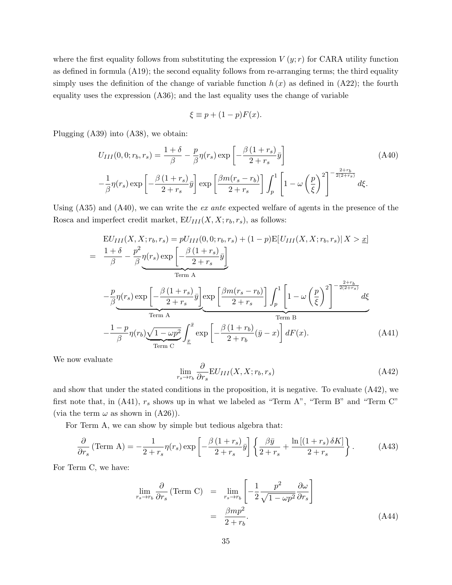where the first equality follows from substituting the expression  $V(y; r)$  for CARA utility function as defined in formula (A19); the second equality follows from re-arranging terms; the third equality simply uses the definition of the change of variable function  $h(x)$  as defined in (A22); the fourth equality uses the expression (A36); and the last equality uses the change of variable

$$
\xi \equiv p + (1 - p)F(x).
$$

Plugging (A39) into (A38), we obtain:

$$
U_{III}(0,0;r_b,r_s) = \frac{1+\delta}{\beta} - \frac{p}{\beta}\eta(r_s) \exp\left[-\frac{\beta(1+r_s)}{2+r_s}\bar{y}\right]
$$
(A40)  

$$
-\frac{1}{\beta}\eta(r_s) \exp\left[-\frac{\beta(1+r_s)}{2+r_s}\bar{y}\right] \exp\left[\frac{\beta m(r_s-r_b)}{2+r_s}\right] \int_p^1 \left[1-\omega\left(\frac{p}{\xi}\right)^2\right]^{-\frac{2+r_b}{2(2+r_s)}} d\xi.
$$

Using (A35) and (A40), we can write the ex ante expected welfare of agents in the presence of the Rosca and imperfect credit market,  $EU_{III}(X, X; r_b, r_s)$ , as follows:

$$
EU_{III}(X, X; r_b, r_s) = pU_{III}(0, 0; r_b, r_s) + (1 - p)E[U_{III}(X, X; r_b, r_s)|X > x]
$$
  
\n
$$
= \frac{1 + \delta}{\beta} - \frac{p^2}{\beta} \eta(r_s) \exp\left[-\frac{\beta(1 + r_s)}{2 + r_s} \bar{y}\right]
$$
  
\nTerm A  
\n
$$
- \frac{p}{\beta} \eta(r_s) \exp\left[-\frac{\beta(1 + r_s)}{2 + r_s} \bar{y}\right] \exp\left[\frac{\beta m(r_s - r_b)}{2 + r_s}\right] \int_p^1 \left[1 - \omega \left(\frac{p}{\xi}\right)^2\right]^{-\frac{2 + r_b}{2(2 + r_s)}} d\xi
$$
  
\nTerm A  
\nTerm B  
\nTerm C  
\n
$$
- \frac{1 - p}{\beta} \eta(r_b) \underbrace{\sqrt{1 - \omega p^2}}_{Term C} \int_x^{\bar{x}} \exp\left[-\frac{\beta(1 + r_b)}{2 + r_b} (\bar{y} - x)\right] dF(x).
$$
 (A41)

We now evaluate

$$
\lim_{r_s \to r_b} \frac{\partial}{\partial r_s} \mathcal{E} U_{III}(X, X; r_b, r_s) \tag{A42}
$$

and show that under the stated conditions in the proposition, it is negative. To evaluate (A42), we first note that, in (A41),  $r_s$  shows up in what we labeled as "Term A", "Term B" and "Term C" (via the term  $\omega$  as shown in (A26)).

For Term A, we can show by simple but tedious algebra that:

$$
\frac{\partial}{\partial r_s} \left( \text{Term A} \right) = -\frac{1}{2 + r_s} \eta(r_s) \exp\left[ -\frac{\beta \left( 1 + r_s \right)}{2 + r_s} \bar{y} \right] \left\{ \frac{\beta \bar{y}}{2 + r_s} + \frac{\ln\left[ \left( 1 + r_s \right) \delta K \right]}{2 + r_s} \right\} . \tag{A43}
$$

For Term C, we have:

$$
\lim_{r_s \to r_b} \frac{\partial}{\partial r_s} \text{(Term C)} = \lim_{r_s \to r_b} \left[ -\frac{1}{2} \frac{p^2}{\sqrt{1 - \omega p^2}} \frac{\partial \omega}{\partial r_s} \right]
$$
\n
$$
= \frac{\beta m p^2}{2 + r_b}.
$$
\n(A44)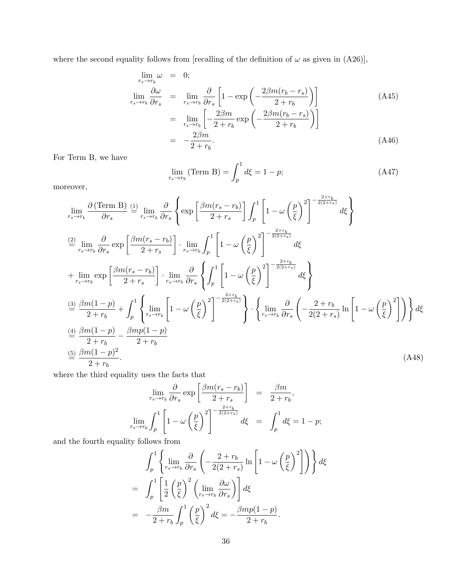where the second equality follows from [recalling of the definition of  $\omega$  as given in (A26)],

$$
\lim_{r_s \to r_b} \omega = 0;
$$
\n
$$
\lim_{r_s \to r_b} \frac{\partial \omega}{\partial r_s} = \lim_{r_s \to r_b} \frac{\partial}{\partial r_s} \left[ 1 - \exp\left( -\frac{2\beta m (r_b - r_s)}{2 + r_b} \right) \right]
$$
\n
$$
= \lim_{r_s \to r_b} \left[ -\frac{2\beta m}{2 + r_b} \exp\left( -\frac{2\beta m (r_b - r_s)}{2 + r_b} \right) \right]
$$
\n
$$
= -\frac{2\beta m}{2 + r_b}.
$$
\n(A46)

For Term B, we have

$$
\lim_{r_s \to r_b} (\text{Term B}) = \int_p^1 d\xi = 1 - p; \tag{A47}
$$

moreover,

$$
\lim_{r_s \to r_b} \frac{\partial \left( \text{Term B} \right)}{\partial r_s} \stackrel{(1)}{=} \lim_{r_s \to r_b} \frac{\partial}{\partial r_s} \left\{ \exp \left[ \frac{\beta m (r_s - r_b)}{2 + r_s} \right] \int_p^1 \left[ 1 - \omega \left( \frac{p}{\xi} \right)^2 \right]^{-\frac{2 + r_b}{2(2 + r_s)}} d\xi \right\}
$$
\n
$$
\stackrel{(2)}{=} \lim_{r_s \to r_b} \frac{\partial}{\partial r_s} \exp \left[ \frac{\beta m (r_s - r_b)}{2 + r_s} \right] \cdot \lim_{r_s \to r_b} \int_p^1 \left[ 1 - \omega \left( \frac{p}{\xi} \right)^2 \right]^{-\frac{2 + r_b}{2(2 + r_s)}} d\xi
$$
\n
$$
+ \lim_{r_s \to r_b} \exp \left[ \frac{\beta m (r_s - r_b)}{2 + r_s} \right] \cdot \lim_{r_s \to r_b} \frac{\partial}{\partial r_s} \left\{ \int_p^1 \left[ 1 - \omega \left( \frac{p}{\xi} \right)^2 \right]^{-\frac{2 + r_b}{2(2 + r_s)}} d\xi \right\}
$$
\n
$$
\frac{\text{(3) } \frac{\partial m (1 - p)}{2 + r_b} + \int_p^1 \left\{ \lim_{r_s \to r_b} \left[ 1 - \omega \left( \frac{p}{\xi} \right)^2 \right]^{-\frac{2 + r_b}{2(2 + r_s)}} \right\} \cdot \left\{ \lim_{r_s \to r_b} \frac{\partial}{\partial r_s} \left( -\frac{2 + r_b}{2(2 + r_s)} \ln \left[ 1 - \omega \left( \frac{p}{\xi} \right)^2 \right] \right) \right\} d\xi
$$
\n
$$
\stackrel{(4)}{=} \frac{\beta m (1 - p)}{2 + r_b} - \frac{\beta m p (1 - p)}{2 + r_b}
$$
\n
$$
\stackrel{(5)}{=} \frac{\beta m (1 - p)^2}{2 + r_b}. \tag{A48}
$$

where the third equality uses the facts that

$$
\lim_{r_s \to r_b} \frac{\partial}{\partial r_s} \exp\left[\frac{\beta m(r_s - r_b)}{2 + r_s}\right] = \frac{\beta m}{2 + r_b},
$$
  

$$
\lim_{r_s \to r_b} \int_p^1 \left[1 - \omega \left(\frac{p}{\xi}\right)^2\right]^{-\frac{2 + r_b}{2(2 + r_s)}} d\xi = \int_p^1 d\xi = 1 - p;
$$

and the fourth equality follows from

$$
\int_{p}^{1} \left\{ \lim_{r_s \to r_b} \frac{\partial}{\partial r_s} \left( -\frac{2 + r_b}{2(2 + r_s)} \ln \left[ 1 - \omega \left( \frac{p}{\xi} \right)^2 \right] \right) \right\} d\xi
$$
  
= 
$$
\int_{p}^{1} \left[ \frac{1}{2} \left( \frac{p}{\xi} \right)^2 \left( \lim_{r_s \to r_b} \frac{\partial \omega}{\partial r_s} \right) \right] d\xi
$$
  
= 
$$
- \frac{\beta m}{2 + r_b} \int_{p}^{1} \left( \frac{p}{\xi} \right)^2 d\xi = -\frac{\beta m p (1 - p)}{2 + r_b}.
$$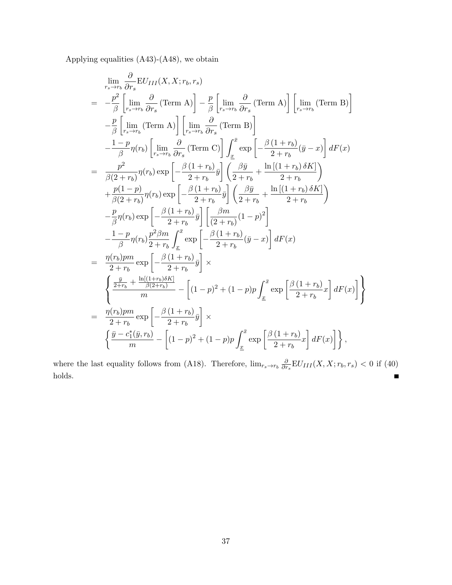Applying equalities (A43)-(A48), we obtain

$$
\lim_{r_s \to r_b} \frac{\partial}{\partial r_s} EU_{III}(X, X; r_b, r_s)
$$
\n
$$
= -\frac{p^2}{\beta} \left[ \lim_{r_s \to r_b} \frac{\partial}{\partial r_s} (\text{Term A}) \right] - \frac{p}{\beta} \left[ \lim_{r_s \to r_b} \frac{\partial}{\partial r_s} (\text{Term A}) \right] \left[ \lim_{r_s \to r_b} (\text{Term B}) \right]
$$
\n
$$
- \frac{p}{\beta} \left[ \lim_{r_s \to r_b} (\text{Term A}) \right] \left[ \lim_{r_s \to r_b} \frac{\partial}{\partial r_s} (\text{Term B}) \right]
$$
\n
$$
- \frac{1-p}{\beta} \eta(r_b) \left[ \lim_{r_s \to r_b} \frac{\partial}{\partial r_s} (\text{Term C}) \right] \int_{\underline{x}}^{\bar{x}} \exp \left[ -\frac{\beta (1+r_b)}{2+r_b} (\bar{y} - x) \right] dF(x)
$$
\n
$$
= \frac{p^2}{\beta (2+r_b)} \eta(r_b) \exp \left[ -\frac{\beta (1+r_b)}{2+r_b} \bar{y} \right] \left( \frac{\beta \bar{y}}{2+r_b} + \frac{\ln [(1+r_b) \delta K]}{2+r_b} \right)
$$
\n
$$
+ \frac{p(1-p)}{\beta (2+r_b)} \eta(r_b) \exp \left[ -\frac{\beta (1+r_b)}{2+r_b} \bar{y} \right] \left( \frac{\beta \bar{y}}{2+r_b} + \frac{\ln [(1+r_b) \delta K]}{2+r_b} \right)
$$
\n
$$
- \frac{p}{\beta} \eta(r_b) \exp \left[ -\frac{\beta (1+r_b)}{2+r_b} \bar{y} \right] \left[ \frac{\beta m}{(2+r_b)} (1-p)^2 \right]
$$
\n
$$
- \frac{1-p}{\beta} \eta(r_b) \frac{p^2 \beta m}{2+r_b} \int_{\underline{x}}^{\bar{x}} \exp \left[ -\frac{\beta (1+r_b)}{2+r_b} (\bar{y} - x) \right] dF(x)
$$
\n
$$
= \frac{\eta(r_b) p m}{2+r_b} \exp \left[ -\frac{\beta (1+r_b)}{2+r_b} \bar{y} \right] \times
$$
\n
$$
\left\{ \frac{\frac{\bar{y}}{2+r_b} + \frac
$$

where the last equality follows from (A18). Therefore,  $\lim_{r_s \to r_b} \frac{\partial}{\partial r}$  $\frac{\partial}{\partial r_s}$ EU<sub>III</sub> $(X, X; r_b, r_s) < 0$  if (40) holds.  $\blacksquare$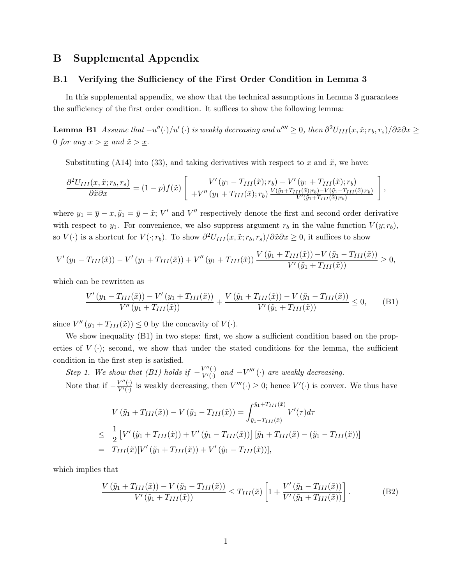# B Supplemental Appendix

#### B.1 Verifying the Sufficiency of the First Order Condition in Lemma 3

In this supplemental appendix, we show that the technical assumptions in Lemma 3 guarantees the sufficiency of the first order condition. It suffices to show the following lemma:

**Lemma B1** Assume that  $-u''(\cdot)/u'(\cdot)$  is weakly decreasing and  $u'''' \ge 0$ , then  $\partial^2 U_{III}(x, \tilde{x}; r_b, r_s)/\partial \tilde{x} \partial x \ge$ 0 for any  $x > \underline{x}$  and  $\tilde{x} > \underline{x}$ .

Substituting (A14) into (33), and taking derivatives with respect to x and  $\tilde{x}$ , we have:

$$
\frac{\partial^2 U_{III}(x,\tilde{x};r_b,r_s)}{\partial \tilde{x}\partial x} = (1-p)f(\tilde{x})\left[\begin{array}{c} V'(y_1 - T_{III}(\tilde{x});r_b) - V'(y_1 + T_{III}(\tilde{x});r_b) \\ +V''(y_1 + T_{III}(\tilde{x});r_b) \frac{V(\tilde{y}_1 + T_{III}(\tilde{x});r_b) - V(\tilde{y}_1 - T_{III}(\tilde{x});r_b)}{V'(\tilde{y}_1 + T_{III}(\tilde{x});r_b)} \end{array}\right],
$$

where  $y_1 = \overline{y} - x, \tilde{y}_1 = \overline{y} - \tilde{x}; V'$  and  $V''$  respectively denote the first and second order derivative with respect to  $y_1$ . For convenience, we also suppress argument  $r_b$  in the value function  $V(y; r_b)$ , so  $V(\cdot)$  is a shortcut for  $V(\cdot; r_b)$ . To show  $\partial^2 U_{III}(x, \tilde{x}; r_b, r_s)/\partial \tilde{x}\partial x \geq 0$ , it suffices to show

$$
V'(y_1 - T_{III}(\tilde{x})) - V'(y_1 + T_{III}(\tilde{x})) + V''(y_1 + T_{III}(\tilde{x})) \frac{V(\tilde{y}_1 + T_{III}(\tilde{x})) - V(\tilde{y}_1 - T_{III}(\tilde{x}))}{V'(\tilde{y}_1 + T_{III}(\tilde{x}))} \ge 0,
$$

which can be rewritten as

$$
\frac{V'(y_1 - T_{III}(\tilde{x})) - V'(y_1 + T_{III}(\tilde{x}))}{V''(y_1 + T_{III}(\tilde{x}))} + \frac{V(\tilde{y}_1 + T_{III}(\tilde{x})) - V(\tilde{y}_1 - T_{III}(\tilde{x}))}{V'(\tilde{y}_1 + T_{III}(\tilde{x}))} \le 0,
$$
 (B1)

since  $V''(y_1+T_{III}(\tilde{x})) \leq 0$  by the concavity of  $V(\cdot)$ .

We show inequality  $(B1)$  in two steps: first, we show a sufficient condition based on the properties of  $V(\cdot)$ ; second, we show that under the stated conditions for the lemma, the sufficient condition in the first step is satisfied.

Step 1. We show that (B1) holds if  $-\frac{V''(\cdot)}{V'(\cdot)}$  $\frac{V''(\cdot)}{V'(\cdot)}$  and  $-V'''(\cdot)$  are weakly decreasing. Note that if  $-\frac{V''(\cdot)}{V'(\cdot)}$  $V''(.)$  is weakly decreasing, then  $V'''(.) \geq 0$ ; hence  $V'(.)$  is convex. We thus have

$$
V(\tilde{y}_1 + T_{III}(\tilde{x})) - V(\tilde{y}_1 - T_{III}(\tilde{x})) = \int_{\tilde{y}_1 - T_{III}(\tilde{x})}^{\tilde{y}_1 + T_{III}(\tilde{x})} V'(\tau) d\tau
$$
  
\n
$$
\leq \frac{1}{2} \left[ V'(\tilde{y}_1 + T_{III}(\tilde{x})) + V'(\tilde{y}_1 - T_{III}(\tilde{x})) \right] [\tilde{y}_1 + T_{III}(\tilde{x}) - (\tilde{y}_1 - T_{III}(\tilde{x}))]
$$
  
\n
$$
= T_{III}(\tilde{x}) [V'(\tilde{y}_1 + T_{III}(\tilde{x})) + V'(\tilde{y}_1 - T_{III}(\tilde{x}))],
$$

which implies that

$$
\frac{V\left(\tilde{y}_1 + T_{III}(\tilde{x})\right) - V\left(\tilde{y}_1 - T_{III}(\tilde{x})\right)}{V'\left(\tilde{y}_1 + T_{III}(\tilde{x})\right)} \le T_{III}(\tilde{x}) \left[1 + \frac{V'\left(\tilde{y}_1 - T_{III}(\tilde{x})\right)}{V'\left(\tilde{y}_1 + T_{III}(\tilde{x})\right)}\right].
$$
\n(B2)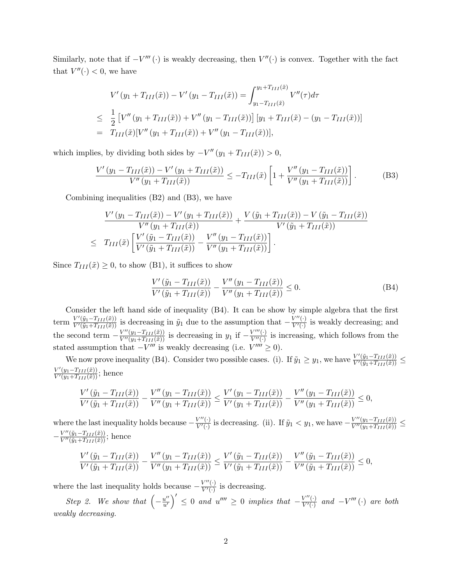Similarly, note that if  $-V'''$  (·) is weakly decreasing, then  $V''$  (·) is convex. Together with the fact that  $V''(\cdot) < 0$ , we have

$$
V'(y_1 + T_{III}(\tilde{x})) - V'(y_1 - T_{III}(\tilde{x})) = \int_{y_1 - T_{III}(\tilde{x})}^{y_1 + T_{III}(\tilde{x})} V''(\tau) d\tau
$$
  
\n
$$
\leq \frac{1}{2} \left[ V''(y_1 + T_{III}(\tilde{x})) + V''(y_1 - T_{III}(\tilde{x})) \right] [y_1 + T_{III}(\tilde{x}) - (y_1 - T_{III}(\tilde{x}))]
$$
  
\n
$$
= T_{III}(\tilde{x}) [V''(y_1 + T_{III}(\tilde{x})) + V''(y_1 - T_{III}(\tilde{x}))],
$$

which implies, by dividing both sides by  $-V''(y_1 + T_{III}(\tilde{x})) > 0$ ,

$$
\frac{V'(y_1 - T_{III}(\tilde{x})) - V'(y_1 + T_{III}(\tilde{x}))}{V''(y_1 + T_{III}(\tilde{x}))} \le -T_{III}(\tilde{x}) \left[ 1 + \frac{V''(y_1 - T_{III}(\tilde{x}))}{V''(y_1 + T_{III}(\tilde{x}))} \right].
$$
 (B3)

Combining inequalities (B2) and (B3), we have

$$
\frac{V'(y_1 - T_{III}(\tilde{x})) - V'(y_1 + T_{III}(\tilde{x}))}{V''(y_1 + T_{III}(\tilde{x}))} + \frac{V(\tilde{y}_1 + T_{III}(\tilde{x})) - V(\tilde{y}_1 - T_{III}(\tilde{x}))}{V'(\tilde{y}_1 + T_{III}(\tilde{x}))}
$$
\n
$$
\leq T_{III}(\tilde{x}) \left[ \frac{V'(\tilde{y}_1 - T_{III}(\tilde{x}))}{V'(\tilde{y}_1 + T_{III}(\tilde{x}))} - \frac{V''(y_1 - T_{III}(\tilde{x}))}{V''(y_1 + T_{III}(\tilde{x}))} \right].
$$

Since  $T_{III}(\tilde{x}) \geq 0$ , to show (B1), it suffices to show

$$
\frac{V'(\tilde{y}_1 - T_{III}(\tilde{x}))}{V'(\tilde{y}_1 + T_{III}(\tilde{x}))} - \frac{V''(y_1 - T_{III}(\tilde{x}))}{V''(y_1 + T_{III}(\tilde{x}))} \le 0.
$$
\n(B4)

Consider the left hand side of inequality (B4). It can be show by simple algebra that the first term  $\frac{V'(\tilde{y}_1-T_{III}(\tilde{x}))}{V'(\tilde{y}_1+T_{III}(\tilde{x}))}$  is decreasing in  $\tilde{y}_1$  due to the assumption that  $-\frac{V''(\cdot)}{V'(\cdot)}$  $\frac{V''(.)}{V'(.)}$  is weakly decreasing; and the second term  $-\frac{V''(y_1-T_{III}(\tilde{x}))}{V''(y_1+T_{III}(\tilde{x}))}$  is decreasing in  $y_1$  if  $-\frac{V'''(\cdot)}{V''(\cdot)}$  $\overline{V^{\prime\prime}(\cdot)}$  is increasing, which follows from the stated assumption that  $-V'''$  is weakly decreasing (i.e.  $V'''' \geq 0$ ).

We now prove inequality (B4). Consider two possible cases. (i). If  $\tilde{y}_1 \ge y_1$ , we have  $\frac{V'(\tilde{y}_1 - T_{III}(\tilde{x}))}{V'(\tilde{y}_1 + T_{III}(\tilde{x}))}$  $\frac{V'(y_1-T_{III}(\tilde{x}))}{V'(y_1+T_{III}(\tilde{x}))};$  hence

$$
\frac{V'(\tilde{y}_1 - T_{III}(\tilde{x}))}{V'(\tilde{y}_1 + T_{III}(\tilde{x}))} - \frac{V''(y_1 - T_{III}(\tilde{x}))}{V''(y_1 + T_{III}(\tilde{x}))} \le \frac{V'(y_1 - T_{III}(\tilde{x}))}{V'(y_1 + T_{III}(\tilde{x}))} - \frac{V''(y_1 - T_{III}(\tilde{x}))}{V''(y_1 + T_{III}(\tilde{x}))} \le 0,
$$

where the last inequality holds because  $-\frac{V''(\cdot)}{V'(\cdot)}$  $\frac{V''(\cdot)}{V'(\cdot)}$  is decreasing. (ii). If  $\tilde{y}_1 < y_1$ , we have  $-\frac{V''(y_1-T_{III}(\tilde{x}))}{V''(y_1+T_{III}(\tilde{x}))} \le$  $-\frac{V''(\tilde{y}_1-T_{III}(\tilde{x}))}{V''(\tilde{y}_1+T_{III}(\tilde{x}))};$  hence

$$
\frac{V'(\tilde{y}_1 - T_{III}(\tilde{x}))}{V'(\tilde{y}_1 + T_{III}(\tilde{x}))} - \frac{V''(y_1 - T_{III}(\tilde{x}))}{V''(y_1 + T_{III}(\tilde{x}))} \le \frac{V'(\tilde{y}_1 - T_{III}(\tilde{x}))}{V'(\tilde{y}_1 + T_{III}(\tilde{x}))} - \frac{V''(\tilde{y}_1 - T_{III}(\tilde{x}))}{V''(\tilde{y}_1 + T_{III}(\tilde{x}))} \le 0,
$$

where the last inequality holds because  $-\frac{V''(\cdot)}{V'(\cdot)}$  $\frac{V^{\pi}(\cdot)}{V'(\cdot)}$  is decreasing.

Step 2. We show that  $\left(-\frac{u''}{u'}\right)$  $\left(u''\atop u'\right)' \leq 0$  and  $u'''' \geq 0$  implies that  $-\frac{V''(\cdot)}{V'(\cdot)}$  $\frac{V''(\cdot)}{V'(\cdot)}$  and  $-V'''(\cdot)$  are both weakly decreasing.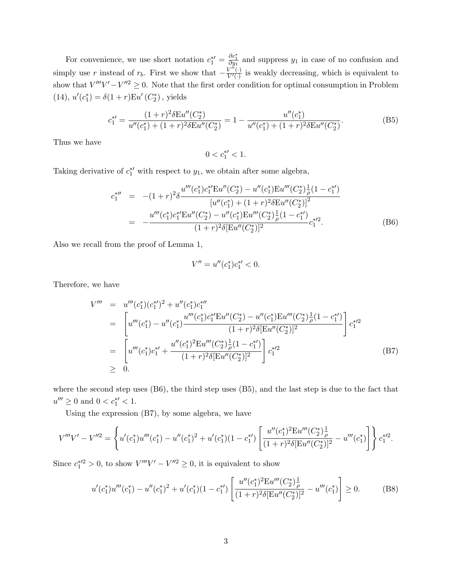For convenience, we use short notation  $c_1^{*\prime} = \frac{\partial c_1^*}{\partial y_1}$  and suppress  $y_1$  in case of no confusion and simply use r instead of  $r_b$ . First we show that  $-\frac{V^{\tilde{\mu}}(\cdot)}{V'(\cdot)}$  $\frac{\partial V^{(n)}(t)}{\partial V'(t)}$  is weakly decreasing, which is equivalent to show that  $V'''V' - V''^2 \geq 0$ . Note that the first order condition for optimal consumption in Problem (14),  $u'(c_1^*) = \delta(1+r)Eu'(C_2^*)$ , yields

$$
c_1^{*\prime} = \frac{(1+r)^2 \delta \mathcal{E}u''(C_2^*)}{u''(c_1^*) + (1+r)^2 \delta \mathcal{E}u''(C_2^*)} = 1 - \frac{u''(c_1^*)}{u''(c_1^*) + (1+r)^2 \delta \mathcal{E}u''(C_2^*)}.
$$
(B5)

Thus we have

 $0 < c_1^{*\prime} < 1.$ 

Taking derivative of  $c_1^*$  with respect to  $y_1$ , we obtain after some algebra,

$$
c_1^{*''} = -(1+r)^2 \delta \frac{u'''(c_1^*)c_1^{*'} \text{E} u''(C_2^*) - u''(c_1^*) \text{E} u'''(C_2^*) \frac{1}{\rho} (1-c_1^{*'})}{[u''(c_1^*) + (1+r)^2 \delta \text{E} u''(C_2^*)]^2}
$$
  

$$
= -\frac{u'''(c_1^*)c_1^{*'} \text{E} u''(C_2^*) - u''(c_1^*) \text{E} u'''(C_2^*) \frac{1}{\rho} (1-c_1^{*'})}{(1+r)^2 \delta [\text{E} u''(C_2^*)]^2} c_1^{*/2}.
$$
 (B6)

Also we recall from the proof of Lemma 1,

$$
V'' = u''(c_1^*)c_1^{*\prime} < 0.
$$

Therefore, we have

$$
V''' = u'''(c_1^*)(c_1^{*})^2 + u''(c_1^*)c_1^{*}'''
$$
  
\n
$$
= \left[ u'''(c_1^*) - u''(c_1^*) \frac{u'''(c_1^*)c_1^{*'}Eu''(C_2^*) - u''(c_1^*)Eu''(C_2^*)\frac{1}{\rho}(1 - c_1^{*'})}{(1 + r)^2 \delta[Eu''(C_2^*)]^2} \right] c_1^{*2}
$$
  
\n
$$
= \left[ u'''(c_1^*)c_1^{*'} + \frac{u''(c_1^*)^2Eu'''(C_2^*)\frac{1}{\rho}(1 - c_1^{*'})}{(1 + r)^2 \delta[Eu''(C_2^*)]^2} \right] c_1^{*2}
$$
  
\n
$$
\geq 0.
$$
 (B7)

where the second step uses (B6), the third step uses (B5), and the last step is due to the fact that  $u''' \ge 0$  and  $0 < c_1^{*\prime} < 1$ .

Using the expression (B7), by some algebra, we have

$$
V'''V' - V''^{2} = \left\{ u'(c_{1}^{*})u'''(c_{1}^{*}) - u''(c_{1}^{*})^{2} + u'(c_{1}^{*})(1 - c_{1}^{*}) \left[ \frac{u''(c_{1}^{*})^{2}Eu'''(C_{2}^{*})\frac{1}{\rho}}{(1+r)^{2}\delta [Eu''(C_{2}^{*})]^{2}} - u'''(c_{1}^{*}) \right] \right\} c_{1}^{*2}.
$$

Since  $c_1^{*/2} > 0$ , to show  $V'''V' - V''^2 \ge 0$ , it is equivalent to show

$$
u'(c_1^*)u'''(c_1^*) - u''(c_1^*)^2 + u'(c_1^*)(1 - c_1^{*\prime}) \left[ \frac{u''(c_1^*)^2 \text{Eu}'''(C_2^*) \frac{1}{\rho}}{(1+r)^2 \delta[\text{Eu}''(C_2^*)]^2} - u'''(c_1^*) \right] \ge 0. \tag{B8}
$$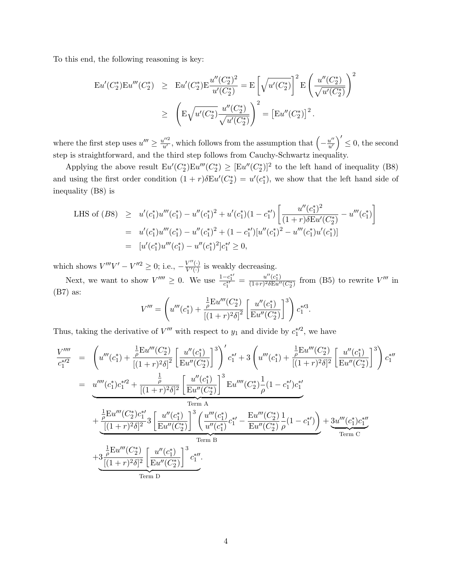To this end, the following reasoning is key:

$$
\begin{array}{lcl} \operatorname{Eu}'(C_2^*) \to & \operatorname{Eu}'(C_2^*) \to \frac{u''(C_2^*)^2}{u'(C_2^*)} = \operatorname{E}\left[\sqrt{u'(C_2^*)}\right]^2 \operatorname{E}\left(\frac{u''(C_2^*)}{\sqrt{u'(C_2^*)}}\right)^2 \\ & \geq & \left(\operatorname{E}\sqrt{u'(C_2^*)}\frac{u''(C_2^*)}{\sqrt{u'(C_2^*)}}\right)^2 = \left[\operatorname{Eu}''(C_2^*)\right]^2. \end{array}
$$

where the first step uses  $u''' \geq \frac{u''^2}{u'}$ , which follows from the assumption that  $\left(-\frac{u''}{u'}\right)$  $\left(\frac{u''}{u'}\right)' \leq 0$ , the second step is straightforward, and the third step follows from Cauchy-Schwartz inequality.

Applying the above result  $Eu'(C_2^*)Eu'''(C_2^*) \geq [Eu''(C_2^*)]^2$  to the left hand of inequality (B8) and using the first order condition  $(1 + r)\delta E u'(C_2^*) = u'(c_1^*)$ , we show that the left hand side of inequality (B8) is

LHS of (B8) 
$$
\geq u'(c_1^*)u'''(c_1^*) - u''(c_1^*)^2 + u'(c_1^*)(1 - c_1^{*\prime}) \left[ \frac{u''(c_1^*)^2}{(1+r)\delta Eu'(C_2^*)} - u'''(c_1^*) \right]
$$
  
\n $= u'(c_1^*)u'''(c_1^*) - u''(c_1^*)^2 + (1 - c_1^{*\prime})[u''(c_1^*)^2 - u'''(c_1^*)u'(c_1^*)]$   
\n $= [u'(c_1^*)u'''(c_1^*) - u''(c_1^*)^2]c_1^{*\prime} \geq 0,$ 

which shows  $V'''V' - V''^2 \geq 0$ ; i.e.,  $-\frac{V''(·)}{V'(·)}$  $\frac{V^{(n)}(.)}{V'(.)}$  is weakly decreasing.

Next, we want to show  $V'''' \ge 0$ . We use  $\frac{1 - c_1^{*\prime}}{c_1^{*\prime}} = \frac{u''(c_1^*)}{(1+r)^2 \delta E u''}$  $\frac{u''(c_1^*)}{(1+r)^2\delta E u''(C_2^*)}$  from (B5) to rewrite  $V'''$  in (B7) as:

$$
V''' = \left(u'''(c_1^*) + \frac{\frac{1}{\rho}Eu'''(C_2^*)}{[(1+r)^2\delta]^2} \left[\frac{u''(c_1^*)}{Eu''(C_2^*)}\right]^3\right)c_1^{*/3}.
$$

Thus, taking the derivative of  $V'''$  with respect to  $y_1$  and divide by  $c_1^{*\prime 2}$ , we have

$$
\frac{V''''}{c_1^{*2}} = \left(u'''(c_1^*) + \frac{\frac{1}{\rho}Eu'''(C_2^*)}{[(1+r)^2\delta]^2} \left[\frac{u''(c_1^*)}{Eu''(C_2^*)}\right]^3\right)' c_1^{*'} + 3\left(u'''(c_1^*) + \frac{\frac{1}{\rho}Eu'''(C_2^*)}{[(1+r)^2\delta]^2} \left[\frac{u''(c_1^*)}{Eu''(C_2^*)}\right]^3\right) c_1^{*''}
$$
\n
$$
= \frac{u''''(c_1^*)c_1^{*2} + \frac{\frac{1}{\rho}}{[(1+r)^2\delta]^2} \left[\frac{u''(c_1^*)}{Eu''(C_2^*)}\right]^3 Eu''''(C_2^*) \frac{1}{\rho}(1-c_1^{*})c_1^{*'}\right]}{\text{Term A}}
$$
\n
$$
+ \frac{\frac{1}{\rho}Eu'''(C_2^*)c_1^{*'}}{[(1+r)^2\delta]^2} 3\left[\frac{u''(c_1^*)}{Eu''(C_2^*)}\right]^3 \left(\frac{u'''(c_1^*)}{u''(c_1^*)}c_1^{*'} - \frac{Eu'''(C_2^*)}{Eu''(C_2^*)}\frac{1}{\rho}(1-c_1^{*'})\right) + 3u'''(c_1^*)c_1^{*''}\right]
$$
\nTerm B\n
$$
+ 3\frac{\frac{1}{\rho}Eu'''(C_2^*)}{[(1+r)^2\delta]^2} \left[\frac{u''(c_1^*)}{Eu''(C_2^*)}\right]^3 c_1^{*''}.
$$
\nTerm D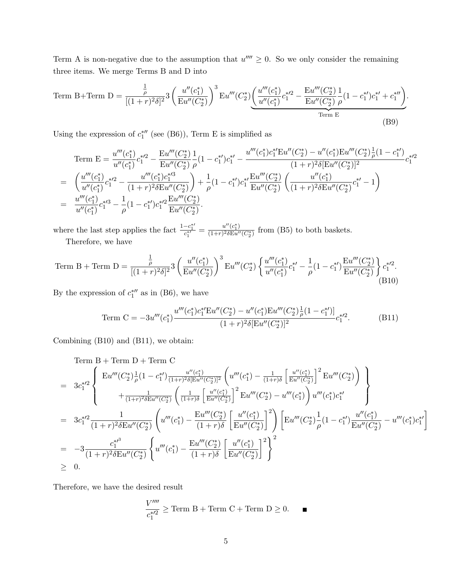Term A is non-negative due to the assumption that  $u'''' \geq 0$ . So we only consider the remaining three items. We merge Terms B and D into

Term B+Term D = 
$$
\frac{\frac{1}{\rho}}{[(1+r)^2\delta]^2} 3 \left(\frac{u''(c_1^*)}{\mathrm{E}u''(C_2^*)}\right)^3 \mathrm{E}u'''(C_2^*) \underbrace{\left(\frac{u'''(c_1^*)}{u''(c_1^*)}c_1^{*/2} - \frac{\mathrm{E}u'''(C_2^*)}{\mathrm{E}u''(C_2^*)} \frac{1}{\rho}(1-c_1^{*}/c_1^{*/2}+c_1^{*/2})}{\mathrm{Term E}}}{\mathrm{Term E}}.
$$
 (B9)

Using the expression of  $c_1^{*\prime\prime}$  (see (B6)), Term E is simplified as

Term E = 
$$
\frac{u'''(c_1^*)}{u''(c_1^*)}c_1^{*/2} - \frac{Eu'''(C_2^*)}{Eu''(C_2^*)} \frac{1}{\rho} (1 - c_1^{*})c_1^{*/2} - \frac{u'''(c_1^*)c_1^{*'}Eu''(C_2^*) - u''(c_1^*)Eu'''(C_2^*)\frac{1}{\rho}(1 - c_1^{*/2})}{(1 + r)^2 \delta[Eu''(C_2^*)]^2}
$$
  
\n
$$
= \left(\frac{u'''(c_1^*)}{u''(c_1^*)}c_1^{*/2} - \frac{u'''(c_1^*)c_1^{*/3}}{(1 + r)^2 \delta Eu''(C_2^*)}\right) + \frac{1}{\rho}(1 - c_1^{*}/c_1^{*'}\frac{Eu'''(C_2^*)}{Eu''(C_2^*)}\left(\frac{u''(c_1^*)}{(1 + r)^2 \delta Eu''(C_2^*)}c_1^{*/2} - 1\right)
$$
  
\n
$$
= \frac{u'''(c_1^*)}{u''(c_1^*)}c_1^{*/3} - \frac{1}{\rho}(1 - c_1^{*}/c_1^{*/2}\frac{Eu'''(C_2^*)}{Eu''(C_2^*)}.
$$

where the last step applies the fact  $\frac{1-c_1^{*\prime}}{c_1^{*\prime}} = \frac{u''(c_1^*)}{(1+r)^2\delta\mathbf{E}u'}$  $\frac{u^2(C_1)}{(1+r)^2 \delta E u''(C_2^*)}$  from (B5) to both baskets. Therefore, we have

Term B + Term D = 
$$
\frac{\frac{1}{\rho}}{[(1+r)^2 \delta]^2}
$$
  $3 \left(\frac{u''(c_1^*)}{\text{Eu}''(C_2^*)}\right)^3 \text{Eu}'''(C_2^*) \left\{\frac{u'''(c_1^*)}{u''(c_1^*)}c_1^{*\prime} - \frac{1}{\rho}(1-c_1^{*\prime})\frac{\text{Eu}'''(C_2^*)}{\text{Eu}''(C_2^*)}\right\} c_1^{*\prime 2}.$ \n(B10)

By the expression of  $c_1^{*\prime\prime}$  as in (B6), we have

Term C = 
$$
-3u'''(c_1^*)\frac{u'''(c_1^*)c_1^{*'}Eu''(C_2^*) - u''(c_1^*)Eu'''(C_2^*)\frac{1}{\rho}(1 - c_1^{*}/)}{(1+r)^2\delta[Eu''(C_2^*)]^2}c_1^{*/2}.
$$
 (B11)

Combining (B10) and (B11), we obtain:

Term B + Term D + Term C  
\n
$$
= 3c_1^{*/2} \begin{cases}\n\text{Eu}'''(C_2^*) \frac{1}{\rho} (1 - c_1^{*}) \frac{u''(c_1^*)}{(1+r)^2 \delta[\text{Eu}''(C_2^*)]^2} \left( u'''(c_1^*) - \frac{1}{(1+r)\delta} \left[ \frac{u''(c_1^*)}{\text{Eu}''(C_2^*)} \right]^2 \text{Eu}'''(C_2^*) \right) \\
+ \frac{1}{(1+r)^2 \delta \text{Eu}''(C_2^*)} \left( \frac{1}{(1+r)\delta} \left[ \frac{u''(c_1^*)}{\text{Eu}''(C_2^*)} \right]^2 \text{Eu}'''(C_2^*) - u'''(c_1^*) \right) u'''(c_1^*) c_1^{*'}\n\end{cases}
$$
\n
$$
= 3c_1^{*/2} \frac{1}{(1+r)^2 \delta \text{Eu}''(C_2^*)} \left( u'''(c_1^*) - \frac{\text{Eu}''(C_2^*)}{(1+r)\delta} \left[ \frac{u''(c_1^*)}{\text{Eu}''(C_2^*)} \right]^2 \right) \left[ \text{Eu}'''(C_2^*) \frac{1}{\rho} (1 - c_1^{*}) \frac{u''(c_1^*)}{\text{Eu}''(C_2^*)} - u'''(c_1^*) c_1^{*'}\n\end{cases}
$$
\n
$$
= -3 \frac{c_1^{*/3}}{(1+r)^2 \delta \text{Eu}''(C_2^*)} \left\{ u'''(c_1^*) - \frac{\text{Eu}''(C_2^*)}{(1+r)\delta} \left[ \frac{u''(c_1^*)}{\text{Eu}''(C_2^*)} \right]^2 \right\}^2
$$
\n
$$
\geq 0.
$$

1

Therefore, we have the desired result

$$
\frac{V''''}{c_1^{*\prime 2}} \geq \text{Term B} + \text{Term C} + \text{Term D} \geq 0. \qquad \blacksquare
$$